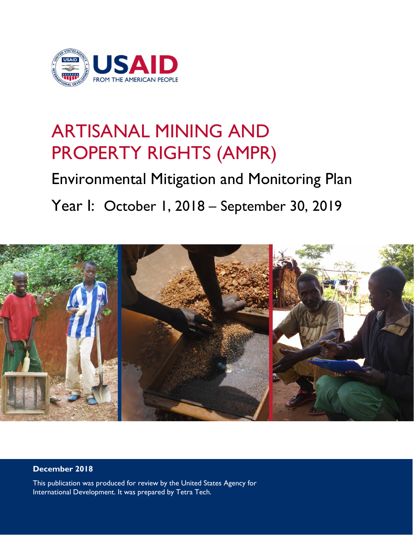

# ARTISANAL MINING AND PROPERTY RIGHTS (AMPR)

# Environmental Mitigation and Monitoring Plan

# Year I: October 1, 2018 – September 30, 2019



# **December 2018**

This publication was produced for review by the United States Agency for International Development. It was prepared by Tetra Tech.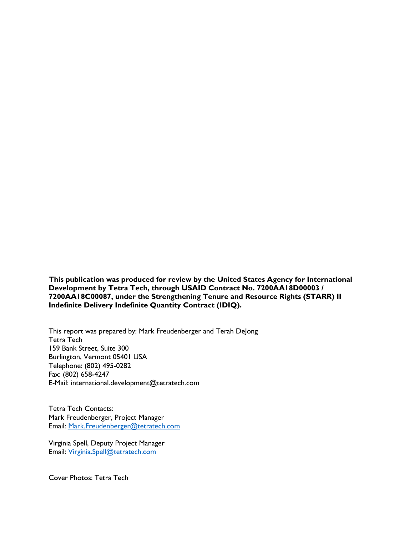**This publication was produced for review by the United States Agency for International Development by Tetra Tech, through USAID Contract No. 7200AA18D00003 / 7200AA18C00087, under the Strengthening Tenure and Resource Rights (STARR) II Indefinite Delivery Indefinite Quantity Contract (IDIQ).** 

This report was prepared by: Mark Freudenberger and Terah DeJong Tetra Tech 159 Bank Street, Suite 300 Burlington, Vermont 05401 USA Telephone: (802) 495-0282 Fax: (802) 658-4247 E-Mail: international.development@tetratech.com

Tetra Tech Contacts: Mark Freudenberger, Project Manager Email: Mark.Freudenberger@tetratech.com

Virginia Spell, Deputy Project Manager Email: Virginia.Spell@tetratech.com

Cover Photos: Tetra Tech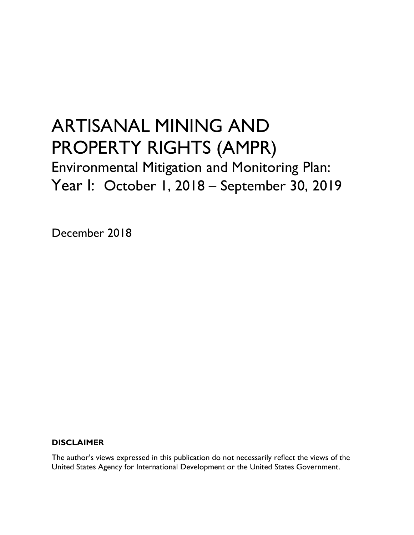# ARTISANAL MINING AND PROPERTY RIGHTS (AMPR)

Environmental Mitigation and Monitoring Plan: Year I: October 1, 2018 – September 30, 2019

December 2018

# **DISCLAIMER**

The author's views expressed in this publication do not necessarily reflect the views of the United States Agency for International Development or the United States Government.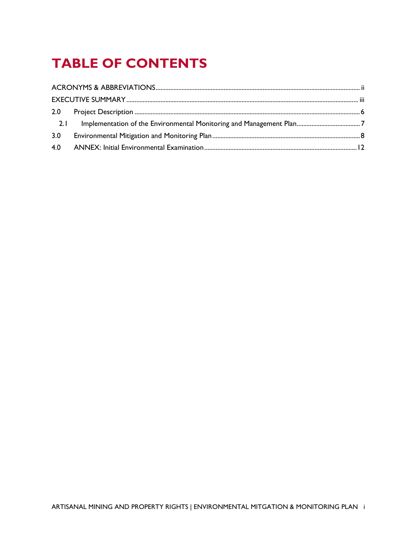# **TABLE OF CONTENTS**

| 2.1 |  |
|-----|--|
| 3.0 |  |
|     |  |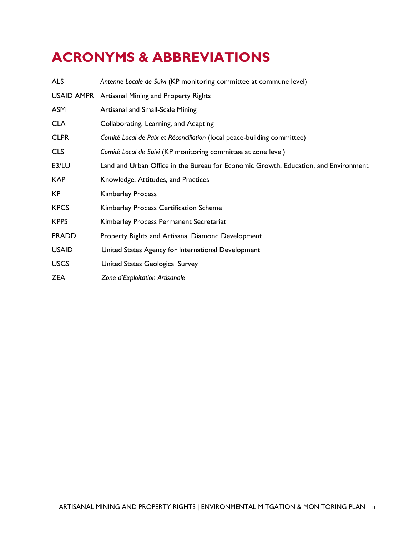# **ACRONYMS & ABBREVIATIONS**

| <b>ALS</b>   | Antenne Locale de Suivi (KP monitoring committee at commune level)                  |
|--------------|-------------------------------------------------------------------------------------|
|              | USAID AMPR Artisanal Mining and Property Rights                                     |
| <b>ASM</b>   | Artisanal and Small-Scale Mining                                                    |
| <b>CLA</b>   | Collaborating, Learning, and Adapting                                               |
| <b>CLPR</b>  | Comité Local de Paix et Réconciliation (local peace-building committee)             |
| <b>CLS</b>   | Comité Local de Suivi (KP monitoring committee at zone level)                       |
| E3/LU        | Land and Urban Office in the Bureau for Economic Growth, Education, and Environment |
| <b>KAP</b>   | Knowledge, Attitudes, and Practices                                                 |
| <b>KP</b>    | <b>Kimberley Process</b>                                                            |
| <b>KPCS</b>  | Kimberley Process Certification Scheme                                              |
| <b>KPPS</b>  | Kimberley Process Permanent Secretariat                                             |
| <b>PRADD</b> | Property Rights and Artisanal Diamond Development                                   |
| <b>USAID</b> | United States Agency for International Development                                  |
| <b>USGS</b>  | United States Geological Survey                                                     |
| <b>ZEA</b>   | Zone d'Exploitation Artisanale                                                      |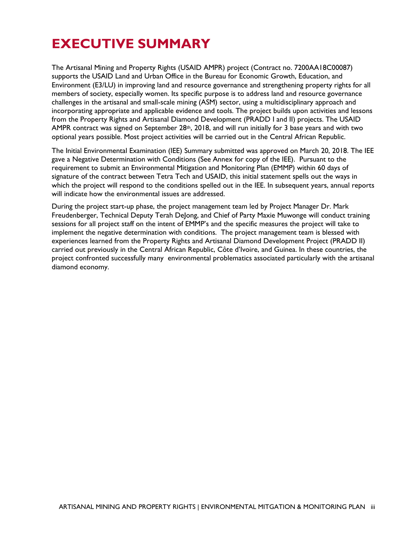# **EXECUTIVE SUMMARY**

The Artisanal Mining and Property Rights (USAID AMPR) project (Contract no. 7200AA18C00087) supports the USAID Land and Urban Office in the Bureau for Economic Growth, Education, and Environment (E3/LU) in improving land and resource governance and strengthening property rights for all members of society, especially women. Its specific purpose is to address land and resource governance challenges in the artisanal and small-scale mining (ASM) sector, using a multidisciplinary approach and incorporating appropriate and applicable evidence and tools. The project builds upon activities and lessons from the Property Rights and Artisanal Diamond Development (PRADD I and II) projects. The USAID AMPR contract was signed on September 28<sup>th</sup>, 2018, and will run initially for 3 base years and with two optional years possible. Most project activities will be carried out in the Central African Republic.

The Initial Environmental Examination (IEE) Summary submitted was approved on March 20, 2018. The IEE gave a Negative Determination with Conditions (See Annex for copy of the IEE). Pursuant to the requirement to submit an Environmental Mitigation and Monitoring Plan (EMMP) within 60 days of signature of the contract between Tetra Tech and USAID, this initial statement spells out the ways in which the project will respond to the conditions spelled out in the IEE. In subsequent years, annual reports will indicate how the environmental issues are addressed.

During the project start-up phase, the project management team led by Project Manager Dr. Mark Freudenberger, Technical Deputy Terah DeJong, and Chief of Party Maxie Muwonge will conduct training sessions for all project staff on the intent of EMMP's and the specific measures the project will take to implement the negative determination with conditions. The project management team is blessed with experiences learned from the Property Rights and Artisanal Diamond Development Project (PRADD II) carried out previously in the Central African Republic, Côte d'Ivoire, and Guinea. In these countries, the project confronted successfully many environmental problematics associated particularly with the artisanal diamond economy.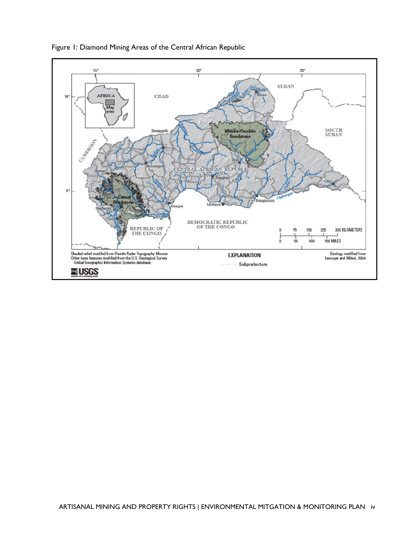

Figure 1: Diamond Mining Areas of the Central African Republic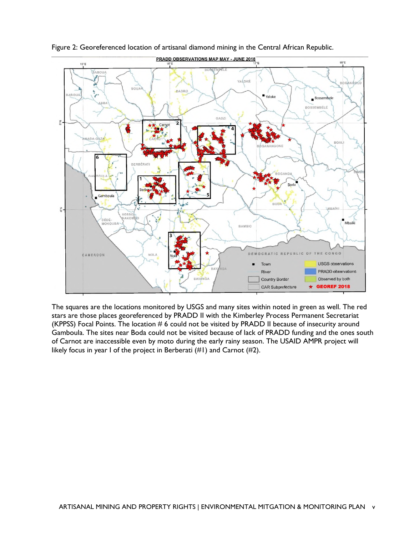



The squares are the locations monitored by USGS and many sites within noted in green as well. The red stars are those places georeferenced by PRADD II with the Kimberley Process Permanent Secretariat (KPPSS) Focal Points. The location  $# 6$  could not be visited by PRADD II because of insecurity around Gamboula. The sites near Boda could not be visited because of lack of PRADD funding and the ones south of Carnot are inaccessible even by moto during the early rainy season. The USAID AMPR project will likely focus in year I of the project in Berberati (#1) and Carnot (#2).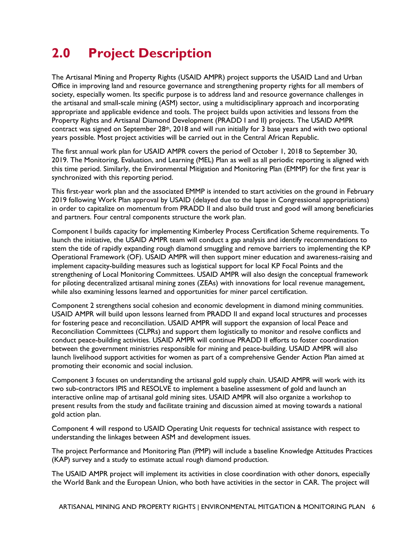# **2.0 Project Description**

The Artisanal Mining and Property Rights (USAID AMPR) project supports the USAID Land and Urban Office in improving land and resource governance and strengthening property rights for all members of society, especially women. Its specific purpose is to address land and resource governance challenges in the artisanal and small-scale mining (ASM) sector, using a multidisciplinary approach and incorporating appropriate and applicable evidence and tools. The project builds upon activities and lessons from the Property Rights and Artisanal Diamond Development (PRADD I and II) projects. The USAID AMPR contract was signed on September  $28<sup>th</sup>$ , 2018 and will run initially for 3 base years and with two optional years possible. Most project activities will be carried out in the Central African Republic.

The first annual work plan for USAID AMPR covers the period of October 1, 2018 to September 30, 2019. The Monitoring, Evaluation, and Learning (MEL) Plan as well as all periodic reporting is aligned with this time period. Similarly, the Environmental Mitigation and Monitoring Plan (EMMP) for the first year is synchronized with this reporting period.

This first-year work plan and the associated EMMP is intended to start activities on the ground in February 2019 following Work Plan approval by USAID (delayed due to the lapse in Congressional appropriations) in order to capitalize on momentum from PRADD II and also build trust and good will among beneficiaries and partners. Four central components structure the work plan.

Component I builds capacity for implementing Kimberley Process Certification Scheme requirements. To launch the initiative, the USAID AMPR team will conduct a gap analysis and identify recommendations to stem the tide of rapidly expanding rough diamond smuggling and remove barriers to implementing the KP Operational Framework (OF). USAID AMPR will then support miner education and awareness-raising and implement capacity-building measures such as logistical support for local KP Focal Points and the strengthening of Local Monitoring Committees. USAID AMPR will also design the conceptual framework for piloting decentralized artisanal mining zones (ZEAs) with innovations for local revenue management, while also examining lessons learned and opportunities for miner parcel certification.

Component 2 strengthens social cohesion and economic development in diamond mining communities. USAID AMPR will build upon lessons learned from PRADD II and expand local structures and processes for fostering peace and reconciliation. USAID AMPR will support the expansion of local Peace and Reconciliation Committees (CLPRs) and support them logistically to monitor and resolve conflicts and conduct peace-building activities. USAID AMPR will continue PRADD II efforts to foster coordination between the government ministries responsible for mining and peace-building. USAID AMPR will also launch livelihood support activities for women as part of a comprehensive Gender Action Plan aimed at promoting their economic and social inclusion.

Component 3 focuses on understanding the artisanal gold supply chain. USAID AMPR will work with its two sub-contractors IPIS and RESOLVE to implement a baseline assessment of gold and launch an interactive online map of artisanal gold mining sites. USAID AMPR will also organize a workshop to present results from the study and facilitate training and discussion aimed at moving towards a national gold action plan.

Component 4 will respond to USAID Operating Unit requests for technical assistance with respect to understanding the linkages between ASM and development issues.

The project Performance and Monitoring Plan (PMP) will include a baseline Knowledge Attitudes Practices (KAP) survey and a study to estimate actual rough diamond production.

The USAID AMPR project will implement its activities in close coordination with other donors, especially the World Bank and the European Union, who both have activities in the sector in CAR. The project will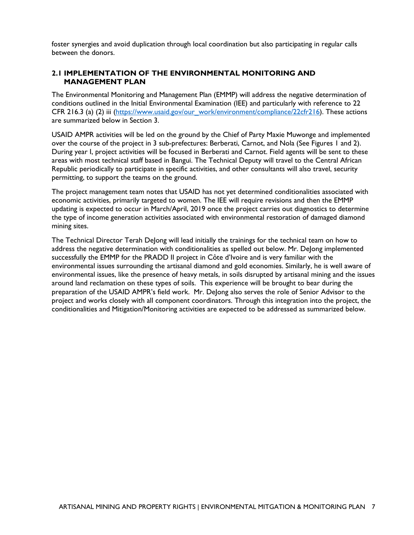foster synergies and avoid duplication through local coordination but also participating in regular calls between the donors.

### **2.1 IMPLEMENTATION OF THE ENVIRONMENTAL MONITORING AND MANAGEMENT PLAN**

The Environmental Monitoring and Management Plan (EMMP) will address the negative determination of conditions outlined in the Initial Environmental Examination (IEE) and particularly with reference to 22 CFR 216.3 (a) (2) iii (https://www.usaid.gov/our\_work/environment/compliance/22cfr216). These actions are summarized below in Section 3.

USAID AMPR activities will be led on the ground by the Chief of Party Maxie Muwonge and implemented over the course of the project in 3 sub-prefectures: Berberati, Carnot, and Nola (See Figures 1 and 2). During year I, project activities will be focused in Berberati and Carnot. Field agents will be sent to these areas with most technical staff based in Bangui. The Technical Deputy will travel to the Central African Republic periodically to participate in specific activities, and other consultants will also travel, security permitting, to support the teams on the ground.

The project management team notes that USAID has not yet determined conditionalities associated with economic activities, primarily targeted to women. The IEE will require revisions and then the EMMP updating is expected to occur in March/April, 2019 once the project carries out diagnostics to determine the type of income generation activities associated with environmental restoration of damaged diamond mining sites.

The Technical Director Terah DeJong will lead initially the trainings for the technical team on how to address the negative determination with conditionalities as spelled out below. Mr. DeJong implemented successfully the EMMP for the PRADD II project in Côte d'Ivoire and is very familiar with the environmental issues surrounding the artisanal diamond and gold economies. Similarly, he is well aware of environmental issues, like the presence of heavy metals, in soils disrupted by artisanal mining and the issues around land reclamation on these types of soils. This experience will be brought to bear during the preparation of the USAID AMPR's field work. Mr. Delong also serves the role of Senior Advisor to the project and works closely with all component coordinators. Through this integration into the project, the conditionalities and Mitigation/Monitoring activities are expected to be addressed as summarized below.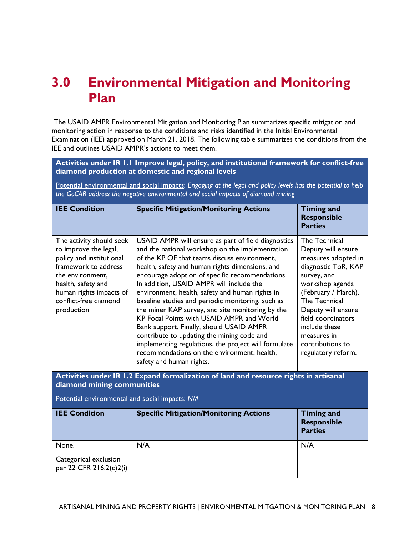# **3.0 Environmental Mitigation and Monitoring Plan**

 The USAID AMPR Environmental Mitigation and Monitoring Plan summarizes specific mitigation and monitoring action in response to the conditions and risks identified in the Initial Environmental Examination (IEE) approved on March 21, 2018. The following table summarizes the conditions from the IEE and outlines USAID AMPR's actions to meet them.

**Activities under IR 1.1 Improve legal, policy, and institutional framework for conflict-free diamond production at domestic and regional levels** 

Potential environmental and social impacts: *Engaging at the legal and policy levels has the potential to help the GoCAR address the negative environmental and social impacts of diamond mining*

| <b>IEE Condition</b>                                                                                                                                                                                              | <b>Specific Mitigation/Monitoring Actions</b>                                                                                                                                                                                                                                                                                                                                                                                                                                                                                                                                                                                                                                                                                                  | <b>Timing and</b><br><b>Responsible</b><br><b>Parties</b>                                                                                                                                                                                                                         |  |
|-------------------------------------------------------------------------------------------------------------------------------------------------------------------------------------------------------------------|------------------------------------------------------------------------------------------------------------------------------------------------------------------------------------------------------------------------------------------------------------------------------------------------------------------------------------------------------------------------------------------------------------------------------------------------------------------------------------------------------------------------------------------------------------------------------------------------------------------------------------------------------------------------------------------------------------------------------------------------|-----------------------------------------------------------------------------------------------------------------------------------------------------------------------------------------------------------------------------------------------------------------------------------|--|
| The activity should seek<br>to improve the legal,<br>policy and institutional<br>framework to address<br>the environment.<br>health, safety and<br>human rights impacts of<br>conflict-free diamond<br>production | USAID AMPR will ensure as part of field diagnostics<br>and the national workshop on the implementation<br>of the KP OF that teams discuss environment.<br>health, safety and human rights dimensions, and<br>encourage adoption of specific recommendations.<br>In addition, USAID AMPR will include the<br>environment, health, safety and human rights in<br>baseline studies and periodic monitoring, such as<br>the miner KAP survey, and site monitoring by the<br>KP Focal Points with USAID AMPR and World<br>Bank support. Finally, should USAID AMPR<br>contribute to updating the mining code and<br>implementing regulations, the project will formulate<br>recommendations on the environment, health,<br>safety and human rights. | The Technical<br>Deputy will ensure<br>measures adopted in<br>diagnostic ToR, KAP<br>survey, and<br>workshop agenda<br>(February / March).<br>The Technical<br>Deputy will ensure<br>field coordinators<br>include these<br>measures in<br>contributions to<br>regulatory reform. |  |
| Activities under IR 1.2 Expand formalization of land and resource rights in artisanal<br>diamond mining communities                                                                                               |                                                                                                                                                                                                                                                                                                                                                                                                                                                                                                                                                                                                                                                                                                                                                |                                                                                                                                                                                                                                                                                   |  |
| Potential environmental and social impacts: N/A                                                                                                                                                                   |                                                                                                                                                                                                                                                                                                                                                                                                                                                                                                                                                                                                                                                                                                                                                |                                                                                                                                                                                                                                                                                   |  |
| <b>IEE Condition</b>                                                                                                                                                                                              | <b>Specific Mitigation/Monitoring Actions</b>                                                                                                                                                                                                                                                                                                                                                                                                                                                                                                                                                                                                                                                                                                  | <b>Timing and</b><br><b>Responsible</b><br><b>Parties</b>                                                                                                                                                                                                                         |  |
| None.                                                                                                                                                                                                             | N/A                                                                                                                                                                                                                                                                                                                                                                                                                                                                                                                                                                                                                                                                                                                                            | N/A                                                                                                                                                                                                                                                                               |  |

Categorical exclusion per 22 CFR 216.2(c)2(i)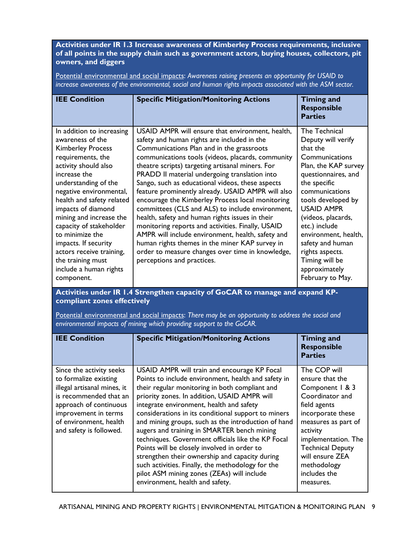**Activities under IR 1.3 Increase awareness of Kimberley Process requirements, inclusive of all points in the supply chain such as government actors, buying houses, collectors, pit owners, and diggers** 

Potential environmental and social impacts: *Awareness raising presents an opportunity for USAID to increase awareness of the environmental, social and human rights impacts associated with the ASM sector.*

| <b>IEE Condition</b>                                                                                                                                                                                                                                                                                                                                                                                                                   | <b>Specific Mitigation/Monitoring Actions</b>                                                                                                                                                                                                                                                                                                                                                                                                                                                                                                                                                                                                                                                                                                                                                                            | <b>Timing and</b><br><b>Responsible</b><br><b>Parties</b>             |  |
|----------------------------------------------------------------------------------------------------------------------------------------------------------------------------------------------------------------------------------------------------------------------------------------------------------------------------------------------------------------------------------------------------------------------------------------|--------------------------------------------------------------------------------------------------------------------------------------------------------------------------------------------------------------------------------------------------------------------------------------------------------------------------------------------------------------------------------------------------------------------------------------------------------------------------------------------------------------------------------------------------------------------------------------------------------------------------------------------------------------------------------------------------------------------------------------------------------------------------------------------------------------------------|-----------------------------------------------------------------------|--|
| In addition to increasing<br>awareness of the<br><b>Kimberley Process</b><br>requirements, the<br>activity should also<br>increase the<br>understanding of the<br>negative environmental,<br>health and safety related<br>impacts of diamond<br>mining and increase the<br>capacity of stakeholder<br>to minimize the<br>impacts. If security<br>actors receive training,<br>the training must<br>include a human rights<br>component. | USAID AMPR will ensure that environment, health,<br>safety and human rights are included in the<br>Communications Plan and in the grassroots<br>communications tools (videos, placards, community<br>theatre scripts) targeting artisanal miners. For<br>PRADD II material undergoing translation into<br>Sango, such as educational videos, these aspects<br>feature prominently already. USAID AMPR will also<br>encourage the Kimberley Process local monitoring<br>committees (CLS and ALS) to include environment,<br>health, safety and human rights issues in their<br>monitoring reports and activities. Finally, USAID<br>AMPR will include environment, health, safety and<br>human rights themes in the miner KAP survey in<br>order to measure changes over time in knowledge,<br>perceptions and practices. |                                                                       |  |
| compliant zones effectively                                                                                                                                                                                                                                                                                                                                                                                                            | Activities under IR 1.4 Strengthen capacity of GoCAR to manage and expand KP-                                                                                                                                                                                                                                                                                                                                                                                                                                                                                                                                                                                                                                                                                                                                            |                                                                       |  |
| Potential environmental and social impacts: There may be an opportunity to address the social and<br>environmental impacts of mining which providing support to the GoCAR.                                                                                                                                                                                                                                                             |                                                                                                                                                                                                                                                                                                                                                                                                                                                                                                                                                                                                                                                                                                                                                                                                                          |                                                                       |  |
| <b>IEE Condition</b>                                                                                                                                                                                                                                                                                                                                                                                                                   | <b>Specific Mitigation/Monitoring Actions</b>                                                                                                                                                                                                                                                                                                                                                                                                                                                                                                                                                                                                                                                                                                                                                                            | <b>Timing and</b><br><b>Responsible</b><br><b>Parties</b>             |  |
| Since the activity seeks<br>to formalize existing<br>illegal artisanal mines, it<br>is recommended that an                                                                                                                                                                                                                                                                                                                             | USAID AMPR will train and encourage KP Focal<br>Points to include environment, health and safety in<br>their regular monitoring in both compliant and<br>priority zones. In addition, USAID AMPR will                                                                                                                                                                                                                                                                                                                                                                                                                                                                                                                                                                                                                    | The COP will<br>ensure that the<br>Component   & 3<br>Coordinator and |  |

| megar ar usanar mines, it | their regular monitoring in boun compilant and      | COMPONENT L & J         |
|---------------------------|-----------------------------------------------------|-------------------------|
| is recommended that an    | priority zones. In addition, USAID AMPR will        | Coordinator and         |
| approach of continuous    | integrate environment, health and safety            | field agents            |
| improvement in terms      | considerations in its conditional support to miners | incorporate these       |
| of environment, health    | and mining groups, such as the introduction of hand | measures as part of     |
| and safety is followed.   | augers and training in SMARTER bench mining         | activity                |
|                           | techniques. Government officials like the KP Focal  | implementation. The     |
|                           | Points will be closely involved in order to         | <b>Technical Deputy</b> |
|                           | strengthen their ownership and capacity during      | will ensure ZEA         |
|                           | such activities. Finally, the methodology for the   | methodology             |
|                           | pilot ASM mining zones (ZEAs) will include          | includes the            |
|                           | environment, health and safety.                     | measures.               |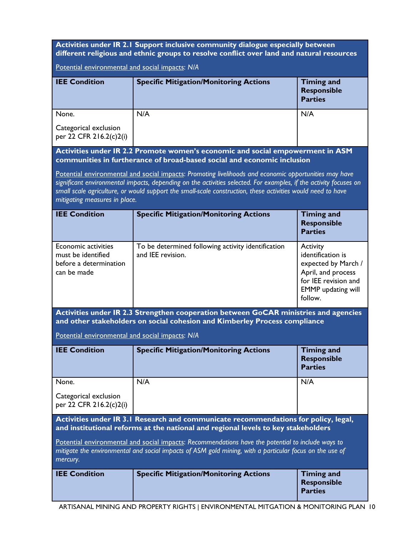| Activities under IR 2.1 Support inclusive community dialogue especially between<br>different religious and ethnic groups to resolve conflict over land and natural resources                                             |                                                                                                                                                                                                                                                                                                                                           |                                                                                                                                            |  |  |
|--------------------------------------------------------------------------------------------------------------------------------------------------------------------------------------------------------------------------|-------------------------------------------------------------------------------------------------------------------------------------------------------------------------------------------------------------------------------------------------------------------------------------------------------------------------------------------|--------------------------------------------------------------------------------------------------------------------------------------------|--|--|
| Potential environmental and social impacts: N/A                                                                                                                                                                          |                                                                                                                                                                                                                                                                                                                                           |                                                                                                                                            |  |  |
| <b>IEE Condition</b>                                                                                                                                                                                                     | <b>Specific Mitigation/Monitoring Actions</b><br><b>Timing and</b><br><b>Responsible</b><br><b>Parties</b>                                                                                                                                                                                                                                |                                                                                                                                            |  |  |
| None.                                                                                                                                                                                                                    | N/A                                                                                                                                                                                                                                                                                                                                       | N/A                                                                                                                                        |  |  |
| Categorical exclusion<br>per 22 CFR 216.2(c)2(i)                                                                                                                                                                         |                                                                                                                                                                                                                                                                                                                                           |                                                                                                                                            |  |  |
|                                                                                                                                                                                                                          | Activities under IR 2.2 Promote women's economic and social empowerment in ASM<br>communities in furtherance of broad-based social and economic inclusion                                                                                                                                                                                 |                                                                                                                                            |  |  |
| mitigating measures in place.                                                                                                                                                                                            | Potential environmental and social impacts: Promoting livelihoods and economic opportunities may have<br>significant environmental impacts, depending on the activities selected. For examples, if the activity focuses on<br>small scale agriculture, or would support the small-scale construction, these activities would need to have |                                                                                                                                            |  |  |
| <b>IEE Condition</b>                                                                                                                                                                                                     | <b>Specific Mitigation/Monitoring Actions</b>                                                                                                                                                                                                                                                                                             | <b>Timing and</b><br><b>Responsible</b><br><b>Parties</b>                                                                                  |  |  |
| Economic activities<br>must be identified<br>before a determination<br>can be made                                                                                                                                       | To be determined following activity identification<br>and IEE revision.                                                                                                                                                                                                                                                                   | Activity<br>identification is<br>expected by March /<br>April, and process<br>for IEE revision and<br><b>EMMP</b> updating will<br>follow. |  |  |
|                                                                                                                                                                                                                          | Activities under IR 2.3 Strengthen cooperation between GoCAR ministries and agencies<br>and other stakeholders on social cohesion and Kimberley Process compliance                                                                                                                                                                        |                                                                                                                                            |  |  |
| Potential environmental and social impacts: N/A                                                                                                                                                                          |                                                                                                                                                                                                                                                                                                                                           |                                                                                                                                            |  |  |
| <b>IEE Condition</b>                                                                                                                                                                                                     | <b>Specific Mitigation/Monitoring Actions</b>                                                                                                                                                                                                                                                                                             | <b>Timing and</b><br><b>Responsible</b><br><b>Parties</b>                                                                                  |  |  |
| None.                                                                                                                                                                                                                    | N/A                                                                                                                                                                                                                                                                                                                                       | N/A                                                                                                                                        |  |  |
| Categorical exclusion<br>per 22 CFR 216.2(c)2(i)                                                                                                                                                                         |                                                                                                                                                                                                                                                                                                                                           |                                                                                                                                            |  |  |
| Activities under IR 3.1 Research and communicate recommendations for policy, legal,<br>and institutional reforms at the national and regional levels to key stakeholders                                                 |                                                                                                                                                                                                                                                                                                                                           |                                                                                                                                            |  |  |
| Potential environmental and social impacts: Recommendations have the potential to include ways to<br>mitigate the environmental and social impacts of ASM gold mining, with a particular focus on the use of<br>mercury. |                                                                                                                                                                                                                                                                                                                                           |                                                                                                                                            |  |  |
| <b>IEE Condition</b>                                                                                                                                                                                                     | <b>Specific Mitigation/Monitoring Actions</b>                                                                                                                                                                                                                                                                                             | <b>Timing and</b><br><b>Responsible</b><br><b>Parties</b>                                                                                  |  |  |

ARTISANAL MINING AND PROPERTY RIGHTS | ENVIRONMENTAL MITGATION & MONITORING PLAN 10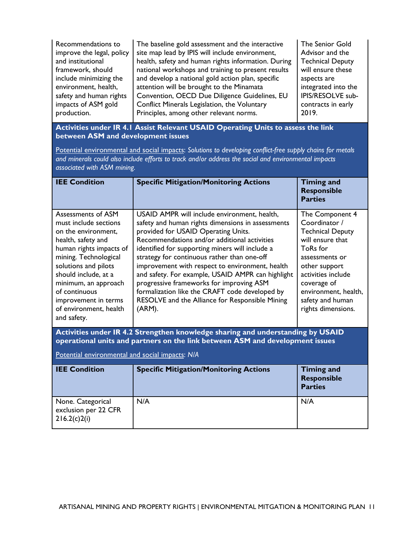| Recommendations to<br>improve the legal, policy | The baseline gold assessment and the interactive<br>site map lead by IPIS will include environment, | The Senior Gold<br>Advisor and the |
|-------------------------------------------------|-----------------------------------------------------------------------------------------------------|------------------------------------|
| and institutional                               | health, safety and human rights information. During                                                 | <b>Technical Deputy</b>            |
| framework, should                               | national workshops and training to present results                                                  | will ensure these                  |
| include minimizing the                          | and develop a national gold action plan, specific                                                   | aspects are                        |
| environment, health,                            | attention will be brought to the Minamata                                                           | integrated into the                |
| safety and human rights                         | Convention, OECD Due Diligence Guidelines, EU                                                       | IPIS/RESOLVE sub-                  |
| impacts of ASM gold                             | Conflict Minerals Legislation, the Voluntary                                                        | contracts in early                 |
| production.                                     | Principles, among other relevant norms.                                                             | 2019.                              |

# **Activities under IR 4.1 Assist Relevant USAID Operating Units to assess the link between ASM and development issues**

Potential environmental and social impacts: *Solutions to developing conflict-free supply chains for metals and minerals could also include efforts to track and/or address the social and environmental impacts associated with ASM mining.*

| <b>IEE Condition</b>                                                                                                                                                                                                                                                                                   | <b>Specific Mitigation/Monitoring Actions</b>                                                                                                                                                                                                                                                                                                                                                                                                                                                                                                                 | <b>Timing and</b><br><b>Responsible</b><br><b>Parties</b>                                                                                                                                                                             |  |
|--------------------------------------------------------------------------------------------------------------------------------------------------------------------------------------------------------------------------------------------------------------------------------------------------------|---------------------------------------------------------------------------------------------------------------------------------------------------------------------------------------------------------------------------------------------------------------------------------------------------------------------------------------------------------------------------------------------------------------------------------------------------------------------------------------------------------------------------------------------------------------|---------------------------------------------------------------------------------------------------------------------------------------------------------------------------------------------------------------------------------------|--|
| Assessments of ASM<br>must include sections<br>on the environment,<br>health, safety and<br>human rights impacts of<br>mining. Technological<br>solutions and pilots<br>should include, at a<br>minimum, an approach<br>of continuous<br>improvement in terms<br>of environment, health<br>and safety. | USAID AMPR will include environment, health,<br>safety and human rights dimensions in assessments<br>provided for USAID Operating Units.<br>Recommendations and/or additional activities<br>identified for supporting miners will include a<br>strategy for continuous rather than one-off<br>improvement with respect to environment, health<br>and safety. For example, USAID AMPR can highlight<br>progressive frameworks for improving ASM<br>formalization like the CRAFT code developed by<br>RESOLVE and the Alliance for Responsible Mining<br>(ARM). | The Component 4<br>Coordinator /<br><b>Technical Deputy</b><br>will ensure that<br>ToRs for<br>assessments or<br>other support<br>activities include<br>coverage of<br>environment, health,<br>safety and human<br>rights dimensions. |  |
| Activities under IR 4.2 Strengthen knowledge sharing and understanding by USAID<br>operational units and partners on the link between ASM and development issues<br>Potential environmental and social impacts: N/A                                                                                    |                                                                                                                                                                                                                                                                                                                                                                                                                                                                                                                                                               |                                                                                                                                                                                                                                       |  |
| <b>IEE Condition</b>                                                                                                                                                                                                                                                                                   | <b>Specific Mitigation/Monitoring Actions</b>                                                                                                                                                                                                                                                                                                                                                                                                                                                                                                                 | <b>Timing and</b><br><b>Responsible</b><br><b>Parties</b>                                                                                                                                                                             |  |
| None. Categorical<br>exclusion per 22 CFR<br>216.2(c)2(i)                                                                                                                                                                                                                                              | N/A                                                                                                                                                                                                                                                                                                                                                                                                                                                                                                                                                           | N/A                                                                                                                                                                                                                                   |  |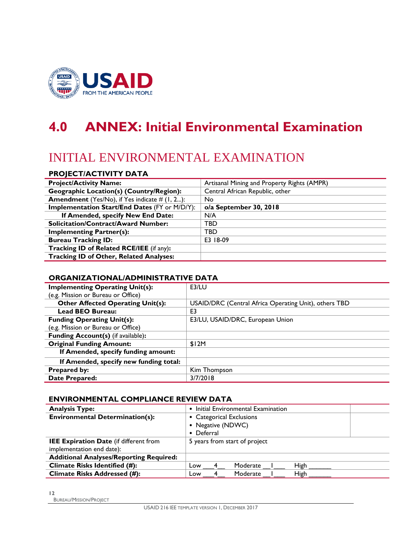

# **4.0 ANNEX: Initial Environmental Examination**

# INITIAL ENVIRONMENTAL EXAMINATION

### **PROJECT/ACTIVITY DATA**

| <b>Project/Activity Name:</b>                          | Artisanal Mining and Property Rights (AMPR) |
|--------------------------------------------------------|---------------------------------------------|
| Geographic Location(s) (Country/Region):               | Central African Republic, other             |
| <b>Amendment</b> (Yes/No), if Yes indicate $# (1, 2):$ | No.                                         |
| <b>Implementation Start/End Dates (FY or M/D/Y):</b>   | $o/a$ September 30, 2018                    |
| If Amended, specify New End Date:                      | N/A                                         |
| <b>Solicitation/Contract/Award Number:</b>             | TBD                                         |
| <b>Implementing Partner(s):</b>                        | TBD                                         |
| <b>Bureau Tracking ID:</b>                             | E3 18-09                                    |
| Tracking ID of Related RCE/IEE (if any):               |                                             |
| <b>Tracking ID of Other, Related Analyses:</b>         |                                             |

## **ORGANIZATIONAL/ADMINISTRATIVE DATA**

| <b>Implementing Operating Unit(s):</b>   | E3/LU                                                 |
|------------------------------------------|-------------------------------------------------------|
| (e.g. Mission or Bureau or Office)       |                                                       |
| <b>Other Affected Operating Unit(s):</b> | USAID/DRC (Central Africa Operating Unit), others TBD |
| Lead BEO Bureau:                         | E <sub>3</sub>                                        |
| <b>Funding Operating Unit(s):</b>        | E3/LU, USAID/DRC, European Union                      |
| (e.g. Mission or Bureau or Office)       |                                                       |
| Funding Account(s) (if available):       |                                                       |
| <b>Original Funding Amount:</b>          | \$12M                                                 |
| If Amended, specify funding amount:      |                                                       |
| If Amended, specify new funding total:   |                                                       |
| Prepared by:                             | Kim Thompson                                          |
| <b>Date Prepared:</b>                    | 3/7/2018                                              |

# **ENVIRONMENTAL COMPLIANCE REVIEW DATA**

| <b>Analysis Type:</b>                          | Initial Environmental Examination |  |
|------------------------------------------------|-----------------------------------|--|
| <b>Environmental Determination(s):</b>         | • Categorical Exclusions          |  |
|                                                | • Negative (NDWC)                 |  |
|                                                | • Deferral                        |  |
| <b>IEE Expiration Date (if different from</b>  | 5 years from start of project     |  |
| implementation end date):                      |                                   |  |
| <b>Additional Analyses/Reporting Required:</b> |                                   |  |
| Climate Risks Identified (#):                  | High<br>Moderate<br>Low           |  |
| <b>Climate Risks Addressed (#):</b>            | Moderate<br>High<br>Low           |  |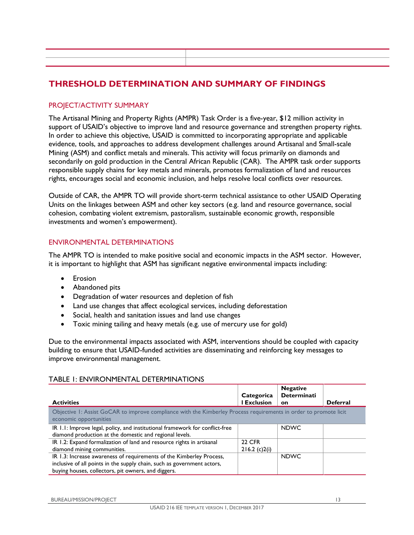# **THRESHOLD DETERMINATION AND SUMMARY OF FINDINGS**

### PROJECT/ACTIVITY SUMMARY

The Artisanal Mining and Property Rights (AMPR) Task Order is a five-year, \$12 million activity in support of USAID's objective to improve land and resource governance and strengthen property rights. In order to achieve this objective, USAID is committed to incorporating appropriate and applicable evidence, tools, and approaches to address development challenges around Artisanal and Small-scale Mining (ASM) and conflict metals and minerals. This activity will focus primarily on diamonds and secondarily on gold production in the Central African Republic (CAR). The AMPR task order supports responsible supply chains for key metals and minerals, promotes formalization of land and resources rights, encourages social and economic inclusion, and helps resolve local conflicts over resources.

Outside of CAR, the AMPR TO will provide short-term technical assistance to other USAID Operating Units on the linkages between ASM and other key sectors (e.g. land and resource governance, social cohesion, combating violent extremism, pastoralism, sustainable economic growth, responsible investments and women's empowerment).

### ENVIRONMENTAL DETERMINATIONS

The AMPR TO is intended to make positive social and economic impacts in the ASM sector. However, it is important to highlight that ASM has significant negative environmental impacts including:

- **•** Erosion
- Abandoned pits
- Degradation of water resources and depletion of fish
- Land use changes that affect ecological services, including deforestation
- Social, health and sanitation issues and land use changes
- Toxic mining tailing and heavy metals (e.g. use of mercury use for gold)

Due to the environmental impacts associated with ASM, interventions should be coupled with capacity building to ensure that USAID-funded activities are disseminating and reinforcing key messages to improve environmental management.

#### TABLE 1: ENVIRONMENTAL DETERMINATIONS

| <b>Activities</b>                                                                                                                                                                                      | Categorica<br>Exclusion             | <b>Negative</b><br><b>Determinati</b><br>on | <b>Deferral</b> |
|--------------------------------------------------------------------------------------------------------------------------------------------------------------------------------------------------------|-------------------------------------|---------------------------------------------|-----------------|
| Objective 1: Assist GoCAR to improve compliance with the Kimberley Process requirements in order to promote licit<br>economic opportunities                                                            |                                     |                                             |                 |
| IR 1.1: Improve legal, policy, and institutional framework for conflict-free<br>diamond production at the domestic and regional levels.                                                                |                                     | <b>NDWC</b>                                 |                 |
| IR 1.2: Expand formalization of land and resource rights in artisanal<br>diamond mining communities.                                                                                                   | <b>22 CFR</b><br>$216.2$ (c) $2(i)$ |                                             |                 |
| IR 1.3: Increase awareness of requirements of the Kimberley Process,<br>inclusive of all points in the supply chain, such as government actors,<br>buying houses, collectors, pit owners, and diggers. |                                     | <b>NDWC</b>                                 |                 |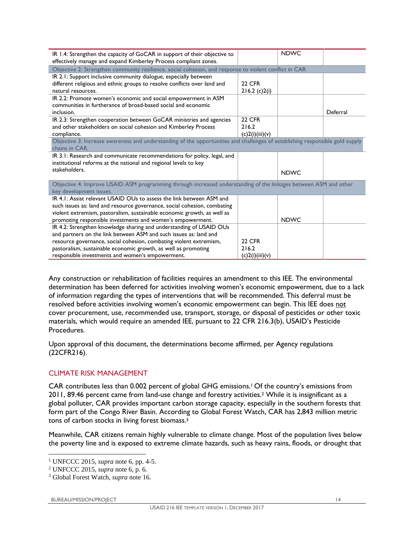| IR 1.4: Strengthen the capacity of GoCAR in support of their objective to<br>effectively manage and expand Kimberley Process compliant zones. |                    | <b>NDWC</b> |          |
|-----------------------------------------------------------------------------------------------------------------------------------------------|--------------------|-------------|----------|
| Objective 2: Strengthen community resilience, social cohesion, and response to violent conflict in CAR                                        |                    |             |          |
| IR 2.1: Support inclusive community dialogue, especially between                                                                              |                    |             |          |
| different religious and ethnic groups to resolve conflicts over land and                                                                      | <b>22 CFR</b>      |             |          |
| natural resources.                                                                                                                            | $216.2$ (c) $2(i)$ |             |          |
| IR 2.2: Promote women's economic and social empowerment in ASM                                                                                |                    |             |          |
| communities in furtherance of broad-based social and economic                                                                                 |                    |             |          |
| inclusion.                                                                                                                                    |                    |             | Deferral |
| IR 2.3: Strengthen cooperation between GoCAR ministries and agencies                                                                          | <b>22 CFR</b>      |             |          |
| and other stakeholders on social cohesion and Kimberley Process                                                                               | 216.2              |             |          |
| compliance.<br>Objective 3: Increase awareness and understanding of the opportunities and challenges of establishing responsible gold supply  | (c)2(i)(iii)(v)    |             |          |
| chains in CAR.                                                                                                                                |                    |             |          |
| IR 3.1: Research and communicate recommendations for policy, legal, and                                                                       |                    |             |          |
| institutional reforms at the national and regional levels to key                                                                              |                    |             |          |
| stakeholders.                                                                                                                                 |                    | <b>NDWC</b> |          |
|                                                                                                                                               |                    |             |          |
| Objective 4: Improve USAID ASM programming through increased understanding of the linkages between ASM and other                              |                    |             |          |
| key development issues.                                                                                                                       |                    |             |          |
| IR 4.1: Assist relevant USAID OUs to assess the link between ASM and                                                                          |                    |             |          |
| such issues as: land and resource governance, social cohesion, combating                                                                      |                    |             |          |
| violent extremism, pastoralism, sustainable economic growth, as well as                                                                       |                    | <b>NDWC</b> |          |
| promoting responsible investments and women's empowerment.                                                                                    |                    |             |          |
| IR 4.2: Strengthen knowledge sharing and understanding of USAID OUs<br>and partners on the link between ASM and such issues as: land and      |                    |             |          |
| resource governance, social cohesion, combating violent extremism,                                                                            | 22 CFR             |             |          |
| pastoralism, sustainable economic growth, as well as promoting                                                                                | 216.2              |             |          |
| responsible investments and women's empowerment.                                                                                              | (c)2(i)(iii)(v)    |             |          |

Any construction or rehabilitation of facilities requires an amendment to this IEE. The environmental determination has been deferred for activities involving women's economic empowerment, due to a lack of information regarding the types of interventions that will be recommended. This deferral must be resolved before activities involving women's economic empowerment can begin. This IEE does not cover procurement, use, recommended use, transport, storage, or disposal of pesticides or other toxic materials, which would require an amended IEE, pursuant to 22 CFR 216.3(b), USAID's Pesticide Procedures.

Upon approval of this document, the determinations become affirmed, per Agency regulations (22CFR216).

## CLIMATE RISK MANAGEMENT

CAR contributes less than 0.002 percent of global GHG emissions.<sup>1</sup> Of the country's emissions from 2011, 89.46 percent came from land-use change and forestry activities.2 While it is insignificant as a global polluter, CAR provides important carbon storage capacity, especially in the southern forests that form part of the Congo River Basin. According to Global Forest Watch, CAR has 2,843 million metric tons of carbon stocks in living forest biomass.<sup>3</sup>

Meanwhile, CAR citizens remain highly vulnerable to climate change. Most of the population lives below the poverty line and is exposed to extreme climate hazards, such as heavy rains, floods, or drought that

<sup>1</sup> UNFCCC 2015, *supra* note 6, pp. 4-5.

<sup>2</sup> UNFCCC 2015, *supra* note 6, p. 6.

<sup>3</sup> Global Forest Watch, *supra* note 16.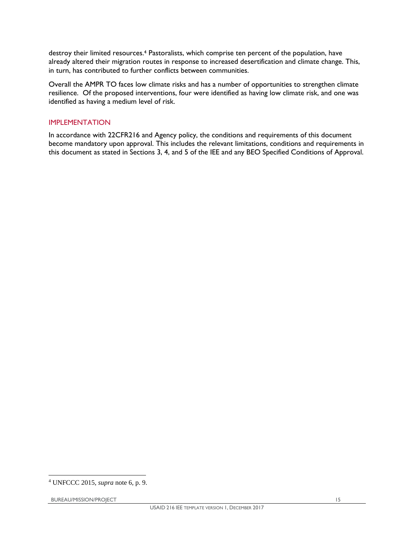destroy their limited resources.<sup>4</sup> Pastoralists, which comprise ten percent of the population, have already altered their migration routes in response to increased desertification and climate change. This, in turn, has contributed to further conflicts between communities.

Overall the AMPR TO faces low climate risks and has a number of opportunities to strengthen climate resilience. Of the proposed interventions, four were identified as having low climate risk, and one was identified as having a medium level of risk.

### IMPLEMENTATION

In accordance with 22CFR216 and Agency policy, the conditions and requirements of this document become mandatory upon approval. This includes the relevant limitations, conditions and requirements in this document as stated in Sections 3, 4, and 5 of the IEE and any BEO Specified Conditions of Approval.

<sup>4</sup> UNFCCC 2015, *supra* note 6, p. 9.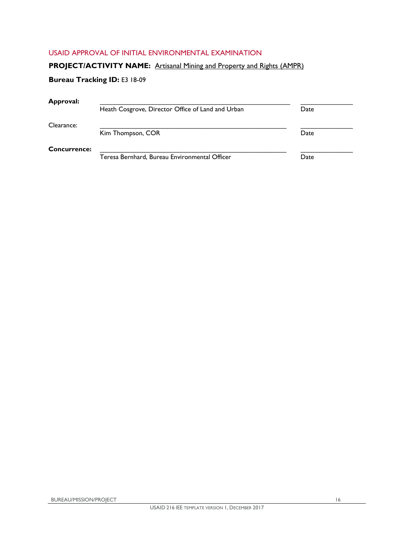## USAID APPROVAL OF INITIAL ENVIRONMENTAL EXAMINATION

# **PROJECT/ACTIVITY NAME:** Artisanal Mining and Property and Rights (AMPR)

# **Bureau Tracking ID:** E3 18-09

| Approval:           |                                                   |      |
|---------------------|---------------------------------------------------|------|
|                     | Heath Cosgrove, Director Office of Land and Urban | Date |
| Clearance:          |                                                   |      |
|                     | Kim Thompson, COR                                 | Date |
| <b>Concurrence:</b> |                                                   |      |
|                     | Teresa Bernhard, Bureau Environmental Officer     | Date |
|                     |                                                   |      |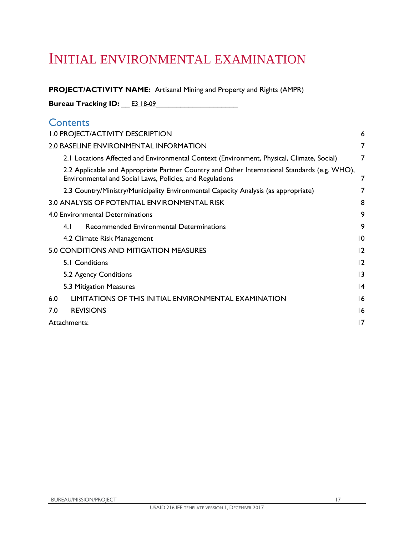# INITIAL ENVIRONMENTAL EXAMINATION

# **PROJECT/ACTIVITY NAME:** Artisanal Mining and Property and Rights (AMPR)

**Bureau Tracking ID:** \_\_ E3 18-09\_\_\_\_\_\_\_\_\_\_\_\_\_\_\_\_\_\_\_\_

# **Contents**

| <b>1.0 PROJECT/ACTIVITY DESCRIPTION</b>                                                                                                                  | 6               |
|----------------------------------------------------------------------------------------------------------------------------------------------------------|-----------------|
| <b>2.0 BASELINE ENVIRONMENTAL INFORMATION</b>                                                                                                            | 7               |
| 2.1 Locations Affected and Environmental Context (Environment, Physical, Climate, Social)                                                                | 7               |
| 2.2 Applicable and Appropriate Partner Country and Other International Standards (e.g. WHO),<br>Environmental and Social Laws, Policies, and Regulations | 7               |
| 2.3 Country/Ministry/Municipality Environmental Capacity Analysis (as appropriate)                                                                       |                 |
| 3.0 ANALYSIS OF POTENTIAL ENVIRONMENTAL RISK                                                                                                             | 8               |
| 4.0 Environmental Determinations                                                                                                                         | 9               |
| 4.1<br><b>Recommended Environmental Determinations</b>                                                                                                   | 9               |
| 4.2 Climate Risk Management                                                                                                                              | $\overline{10}$ |
| 5.0 CONDITIONS AND MITIGATION MEASURES                                                                                                                   | $\overline{2}$  |
| 5.1 Conditions                                                                                                                                           | $\overline{2}$  |
| 5.2 Agency Conditions                                                                                                                                    | $\overline{13}$ |
| 5.3 Mitigation Measures                                                                                                                                  | 14              |
| LIMITATIONS OF THIS INITIAL ENVIRONMENTAL EXAMINATION<br>6.0                                                                                             | 16              |
| <b>REVISIONS</b><br>7.0                                                                                                                                  | 16              |
| Attachments:                                                                                                                                             | 17              |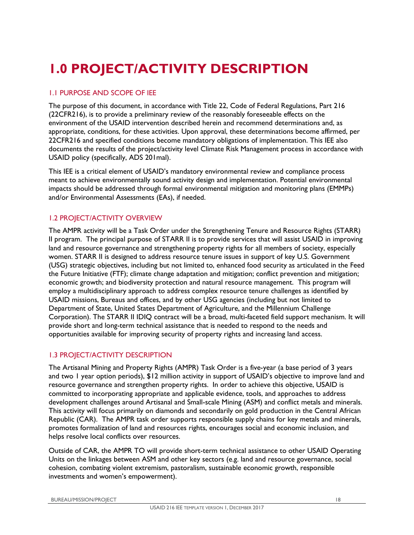# **1.0 PROJECT/ACTIVITY DESCRIPTION**

# 1.1 PURPOSE AND SCOPE OF IEE

The purpose of this document, in accordance with Title 22, Code of Federal Regulations, Part 216 (22CFR216), is to provide a preliminary review of the reasonably foreseeable effects on the environment of the USAID intervention described herein and recommend determinations and, as appropriate, conditions, for these activities. Upon approval, these determinations become affirmed, per 22CFR216 and specified conditions become mandatory obligations of implementation. This IEE also documents the results of the project/activity level Climate Risk Management process in accordance with USAID policy (specifically, ADS 201mal).

This IEE is a critical element of USAID's mandatory environmental review and compliance process meant to achieve environmentally sound activity design and implementation. Potential environmental impacts should be addressed through formal environmental mitigation and monitoring plans (EMMPs) and/or Environmental Assessments (EAs), if needed.

## 1.2 PROJECT/ACTIVITY OVERVIEW

The AMPR activity will be a Task Order under the Strengthening Tenure and Resource Rights (STARR) II program. The principal purpose of STARR II is to provide services that will assist USAID in improving land and resource governance and strengthening property rights for all members of society, especially women. STARR II is designed to address resource tenure issues in support of key U.S. Government (USG) strategic objectives, including but not limited to, enhanced food security as articulated in the Feed the Future Initiative (FTF); climate change adaptation and mitigation; conflict prevention and mitigation; economic growth; and biodiversity protection and natural resource management. This program will employ a multidisciplinary approach to address complex resource tenure challenges as identified by USAID missions, Bureaus and offices, and by other USG agencies (including but not limited to Department of State, United States Department of Agriculture, and the Millennium Challenge Corporation). The STARR II IDIQ contract will be a broad, multi-faceted field support mechanism. It will provide short and long-term technical assistance that is needed to respond to the needs and opportunities available for improving security of property rights and increasing land access.

## 1.3 PROJECT/ACTIVITY DESCRIPTION

The Artisanal Mining and Property Rights (AMPR) Task Order is a five-year (a base period of 3 years and two 1 year option periods), \$12 million activity in support of USAID's objective to improve land and resource governance and strengthen property rights. In order to achieve this objective, USAID is committed to incorporating appropriate and applicable evidence, tools, and approaches to address development challenges around Artisanal and Small-scale Mining (ASM) and conflict metals and minerals. This activity will focus primarily on diamonds and secondarily on gold production in the Central African Republic (CAR). The AMPR task order supports responsible supply chains for key metals and minerals, promotes formalization of land and resources rights, encourages social and economic inclusion, and helps resolve local conflicts over resources.

Outside of CAR, the AMPR TO will provide short-term technical assistance to other USAID Operating Units on the linkages between ASM and other key sectors (e.g. land and resource governance, social cohesion, combating violent extremism, pastoralism, sustainable economic growth, responsible investments and women's empowerment).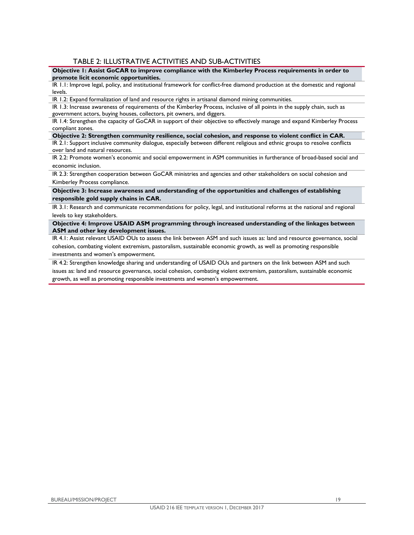#### TABLE 2: ILLUSTRATIVE ACTIVITIES AND SUB-ACTIVITIES

#### **Objective 1: Assist GoCAR to improve compliance with the Kimberley Process requirements in order to promote licit economic opportunities.**

IR 1.1: Improve legal, policy, and institutional framework for conflict-free diamond production at the domestic and regional levels.

IR 1.2: Expand formalization of land and resource rights in artisanal diamond mining communities.

IR 1.3: Increase awareness of requirements of the Kimberley Process, inclusive of all points in the supply chain, such as government actors, buying houses, collectors, pit owners, and diggers.

IR 1.4: Strengthen the capacity of GoCAR in support of their objective to effectively manage and expand Kimberley Process compliant zones.

**Objective 2: Strengthen community resilience, social cohesion, and response to violent conflict in CAR.**

IR 2.1: Support inclusive community dialogue, especially between different religious and ethnic groups to resolve conflicts over land and natural resources.

IR 2.2: Promote women's economic and social empowerment in ASM communities in furtherance of broad-based social and economic inclusion.

IR 2.3: Strengthen cooperation between GoCAR ministries and agencies and other stakeholders on social cohesion and Kimberley Process compliance.

**Objective 3: Increase awareness and understanding of the opportunities and challenges of establishing responsible gold supply chains in CAR.**

IR 3.1: Research and communicate recommendations for policy, legal, and institutional reforms at the national and regional levels to key stakeholders.

**Objective 4: Improve USAID ASM programming through increased understanding of the linkages between ASM and other key development issues.**

IR 4.1: Assist relevant USAID OUs to assess the link between ASM and such issues as: land and resource governance, social cohesion, combating violent extremism, pastoralism, sustainable economic growth, as well as promoting responsible investments and women's empowerment.

IR 4.2: Strengthen knowledge sharing and understanding of USAID OUs and partners on the link between ASM and such issues as: land and resource governance, social cohesion, combating violent extremism, pastoralism, sustainable economic growth, as well as promoting responsible investments and women's empowerment.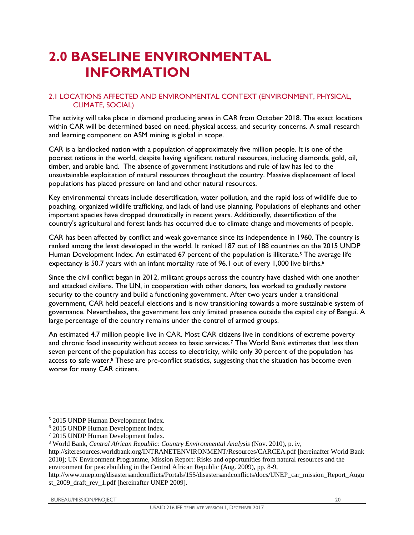# **2.0 BASELINE ENVIRONMENTAL INFORMATION**

## 2.1 LOCATIONS AFFECTED AND ENVIRONMENTAL CONTEXT (ENVIRONMENT, PHYSICAL, CLIMATE, SOCIAL)

The activity will take place in diamond producing areas in CAR from October 2018. The exact locations within CAR will be determined based on need, physical access, and security concerns. A small research and learning component on ASM mining is global in scope.

CAR is a landlocked nation with a population of approximately five million people. It is one of the poorest nations in the world, despite having significant natural resources, including diamonds, gold, oil, timber, and arable land. The absence of government institutions and rule of law has led to the unsustainable exploitation of natural resources throughout the country. Massive displacement of local populations has placed pressure on land and other natural resources.

Key environmental threats include desertification, water pollution, and the rapid loss of wildlife due to poaching, organized wildlife trafficking, and lack of land use planning. Populations of elephants and other important species have dropped dramatically in recent years. Additionally, desertification of the country's agricultural and forest lands has occurred due to climate change and movements of people.

CAR has been affected by conflict and weak governance since its independence in 1960. The country is ranked among the least developed in the world. It ranked 187 out of 188 countries on the 2015 UNDP Human Development Index. An estimated 67 percent of the population is illiterate.<sup>5</sup> The average life expectancy is 50.7 years with an infant mortality rate of 96.1 out of every 1,000 live births.<sup>6</sup>

Since the civil conflict began in 2012, militant groups across the country have clashed with one another and attacked civilians. The UN, in cooperation with other donors, has worked to gradually restore security to the country and build a functioning government. After two years under a transitional government, CAR held peaceful elections and is now transitioning towards a more sustainable system of governance. Nevertheless, the government has only limited presence outside the capital city of Bangui. A large percentage of the country remains under the control of armed groups.

An estimated 4.7 million people live in CAR. Most CAR citizens live in conditions of extreme poverty and chronic food insecurity without access to basic services.7 The World Bank estimates that less than seven percent of the population has access to electricity, while only 30 percent of the population has access to safe water.<sup>8</sup> These are pre-conflict statistics, suggesting that the situation has become even worse for many CAR citizens.

http://www.unep.org/disastersandconflicts/Portals/155/disastersandconflicts/docs/UNEP\_car\_mission\_Report\_Augu st\_2009\_draft\_rev\_1.pdf [hereinafter UNEP 2009].

<sup>5</sup> 2015 UNDP Human Development Index.

<sup>6</sup> 2015 UNDP Human Development Index.

<sup>7</sup> 2015 UNDP Human Development Index.

<sup>8</sup> World Bank, *Central African Republic: Country Environmental Analysis* (Nov. 2010), p. iv,

http://siteresources.worldbank.org/INTRANETENVIRONMENT/Resources/CARCEA.pdf [hereinafter World Bank 2010]; UN Environment Programme, Mission Report: Risks and opportunities from natural resources and the environment for peacebuilding in the Central African Republic (Aug. 2009), pp. 8-9,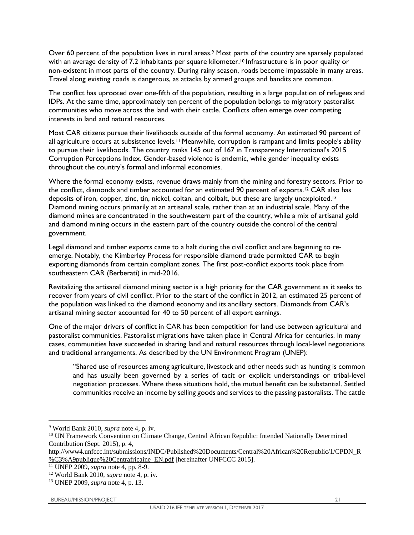Over 60 percent of the population lives in rural areas.<sup>9</sup> Most parts of the country are sparsely populated with an average density of 7.2 inhabitants per square kilometer.<sup>10</sup> Infrastructure is in poor quality or non-existent in most parts of the country. During rainy season, roads become impassable in many areas. Travel along existing roads is dangerous, as attacks by armed groups and bandits are common.

The conflict has uprooted over one-fifth of the population, resulting in a large population of refugees and IDPs. At the same time, approximately ten percent of the population belongs to migratory pastoralist communities who move across the land with their cattle. Conflicts often emerge over competing interests in land and natural resources.

Most CAR citizens pursue their livelihoods outside of the formal economy. An estimated 90 percent of all agriculture occurs at subsistence levels.<sup>11</sup> Meanwhile, corruption is rampant and limits people's ability to pursue their livelihoods. The country ranks 145 out of 167 in Transparency International's 2015 Corruption Perceptions Index. Gender-based violence is endemic, while gender inequality exists throughout the country's formal and informal economies.

Where the formal economy exists, revenue draws mainly from the mining and forestry sectors. Prior to the conflict, diamonds and timber accounted for an estimated 90 percent of exports.12 CAR also has deposits of iron, copper, zinc, tin, nickel, coltan, and colbalt, but these are largely unexploited.<sup>13</sup> Diamond mining occurs primarily at an artisanal scale, rather than at an industrial scale. Many of the diamond mines are concentrated in the southwestern part of the country, while a mix of artisanal gold and diamond mining occurs in the eastern part of the country outside the control of the central government.

Legal diamond and timber exports came to a halt during the civil conflict and are beginning to reemerge. Notably, the Kimberley Process for responsible diamond trade permitted CAR to begin exporting diamonds from certain compliant zones. The first post-conflict exports took place from southeastern CAR (Berberati) in mid-2016.

Revitalizing the artisanal diamond mining sector is a high priority for the CAR government as it seeks to recover from years of civil conflict. Prior to the start of the conflict in 2012, an estimated 25 percent of the population was linked to the diamond economy and its ancillary sectors. Diamonds from CAR's artisanal mining sector accounted for 40 to 50 percent of all export earnings.

One of the major drivers of conflict in CAR has been competition for land use between agricultural and pastoralist communities. Pastoralist migrations have taken place in Central Africa for centuries. In many cases, communities have succeeded in sharing land and natural resources through local-level negotiations and traditional arrangements. As described by the UN Environment Program (UNEP):

"Shared use of resources among agriculture, livestock and other needs such as hunting is common and has usually been governed by a series of tacit or explicit understandings or tribal-level negotiation processes. Where these situations hold, the mutual benefit can be substantial. Settled communities receive an income by selling goods and services to the passing pastoralists. The cattle

<sup>9</sup> World Bank 2010, *supra* note 4, p. iv.

<sup>&</sup>lt;sup>10</sup> UN Framework Convention on Climate Change, Central African Republic: Intended Nationally Determined Contribution (Sept. 2015), p. 4,

http://www4.unfccc.int/submissions/INDC/Published%20Documents/Central%20African%20Republic/1/CPDN\_R %C3%A9publique%20Centrafricaine\_EN.pdf [hereinafter UNFCCC 2015].

<sup>11</sup> UNEP 2009, *supra* note 4, pp. 8-9.

<sup>12</sup> World Bank 2010, *supra* note 4, p. iv.

<sup>13</sup> UNEP 2009, *supra* note 4, p. 13.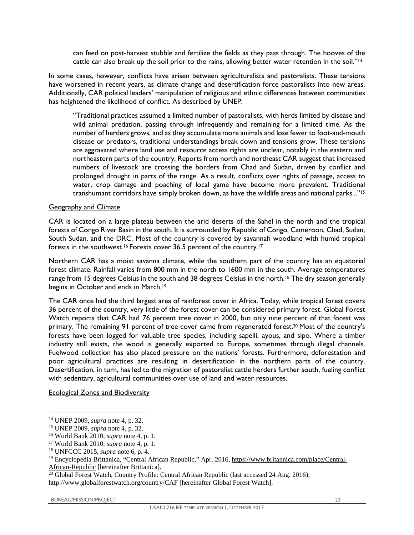can feed on post-harvest stubble and fertilize the fields as they pass through. The hooves of the cattle can also break up the soil prior to the rains, allowing better water retention in the soil."<sup>14</sup>

In some cases, however, conflicts have arisen between agriculturalists and pastoralists. These tensions have worsened in recent years, as climate change and desertification force pastoralists into new areas. Additionally, CAR political leaders' manipulation of religious and ethnic differences between communities has heightened the likelihood of conflict. As described by UNEP:

"Traditional practices assumed a limited number of pastoralists, with herds limited by disease and wild animal predation, passing through infrequently and remaining for a limited time. As the number of herders grows, and as they accumulate more animals and lose fewer to foot-and-mouth disease or predators, traditional understandings break down and tensions grow. These tensions are aggravated where land use and resource access rights are unclear, notably in the eastern and northeastern parts of the country. Reports from north and northeast CAR suggest that increased numbers of livestock are crossing the borders from Chad and Sudan, driven by conflict and prolonged drought in parts of the range. As a result, conflicts over rights of passage, access to water, crop damage and poaching of local game have become more prevalent. Traditional transhumant corridors have simply broken down, as have the wildlife areas and national parks..."<sup>15</sup>

#### Geography and Climate

CAR is located on a large plateau between the arid deserts of the Sahel in the north and the tropical forests of Congo River Basin in the south. It is surrounded by Republic of Congo, Cameroon, Chad, Sudan, South Sudan, and the DRC. Most of the country is covered by savannah woodland with humid tropical forests in the southwest.16 Forests cover 36.5 percent of the country.<sup>17</sup>

Northern CAR has a moist savanna climate, while the southern part of the country has an equatorial forest climate. Rainfall varies from 800 mm in the north to 1600 mm in the south. Average temperatures range from 15 degrees Celsius in the south and 38 degrees Celsius in the north.<sup>18</sup> The dry season generally begins in October and ends in March.<sup>19</sup>

The CAR once had the third largest area of rainforest cover in Africa. Today, while tropical forest covers 36 percent of the country, very little of the forest cover can be considered primary forest. Global Forest Watch reports that CAR had 76 percent tree cover in 2000, but only nine percent of that forest was primary. The remaining 91 percent of tree cover came from regenerated forest.<sup>20</sup> Most of the country's forests have been logged for valuable tree species, including sapelli, ayous, and sipo. Where a timber industry still exists, the wood is generally exported to Europe, sometimes through illegal channels. Fuelwood collection has also placed pressure on the nations' forests. Furthermore, deforestation and poor agricultural practices are resulting in desertification in the northern parts of the country. Desertification, in turn, has led to the migration of pastoralist cattle herders further south, fueling conflict with sedentary, agricultural communities over use of land and water resources.

Ecological Zones and Biodiversity

<sup>14</sup> UNEP 2009, *supra* note 4, p. 32.

<sup>15</sup> UNEP 2009, *supra* note 4, p. 32.

<sup>16</sup> World Bank 2010, *supra* note 4, p. 1.

<sup>17</sup> World Bank 2010, *supra* note 4, p. 1.

<sup>18</sup> UNFCCC 2015, *supra* note 6, p. 4.

<sup>&</sup>lt;sup>19</sup> Encyclopedia Brittanica, "Central African Republic," Apr. 2016, https://www.britannica.com/place/Central-African-Republic [hereinafter Brittanica].

 $20$  Global Forest Watch, Country Profile: Central African Republic (last accessed 24 Aug. 2016), http://www.globalforestwatch.org/country/CAF [hereinafter Global Forest Watch].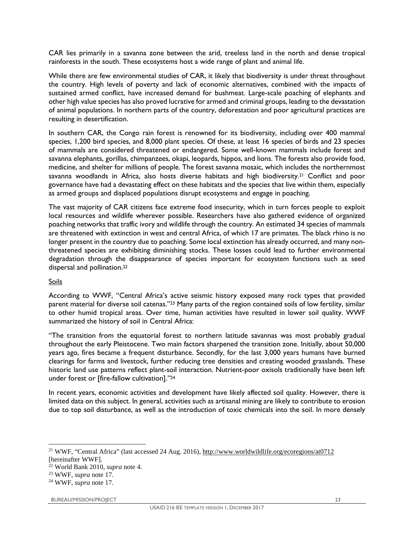CAR lies primarily in a savanna zone between the arid, treeless land in the north and dense tropical rainforests in the south. These ecosystems host a wide range of plant and animal life.

While there are few environmental studies of CAR, it likely that biodiversity is under threat throughout the country. High levels of poverty and lack of economic alternatives, combined with the impacts of sustained armed conflict, have increased demand for bushmeat. Large-scale poaching of elephants and other high value species has also proved lucrative for armed and criminal groups, leading to the devastation of animal populations. In northern parts of the country, deforestation and poor agricultural practices are resulting in desertification.

In southern CAR, the Congo rain forest is renowned for its biodiversity, including over 400 mammal species, 1,200 bird species, and 8,000 plant species. Of these, at least 16 species of birds and 23 species of mammals are considered threatened or endangered. Some well-known mammals include forest and savanna elephants, gorillas, chimpanzees, okapi, leopards, hippos, and lions. The forests also provide food, medicine, and shelter for millions of people. The forest savanna mosaic, which includes the northernmost savanna woodlands in Africa, also hosts diverse habitats and high biodiversity.<sup>21</sup> Conflict and poor governance have had a devastating effect on these habitats and the species that live within them, especially as armed groups and displaced populations disrupt ecosystems and engage in poaching.

The vast majority of CAR citizens face extreme food insecurity, which in turn forces people to exploit local resources and wildlife wherever possible. Researchers have also gathered evidence of organized poaching networks that traffic ivory and wildlife through the country. An estimated 34 species of mammals are threatened with extinction in west and central Africa, of which 17 are primates. The black rhino is no longer present in the country due to poaching. Some local extinction has already occurred, and many nonthreatened species are exhibiting diminishing stocks. These losses could lead to further environmental degradation through the disappearance of species important for ecosystem functions such as seed dispersal and pollination.<sup>22</sup>

#### Soils

According to WWF, "Central Africa's active seismic history exposed many rock types that provided parent material for diverse soil catenas."23 Many parts of the region contained soils of low fertility, similar to other humid tropical areas. Over time, human activities have resulted in lower soil quality. WWF summarized the history of soil in Central Africa:

"The transition from the equatorial forest to northern latitude savannas was most probably gradual throughout the early Pleistocene. Two main factors sharpened the transition zone. Initially, about 50,000 years ago, fires became a frequent disturbance. Secondly, for the last 3,000 years humans have burned clearings for farms and livestock, further reducing tree densities and creating wooded grasslands. These historic land use patterns reflect plant-soil interaction. Nutrient-poor oxisols traditionally have been left under forest or [fire-fallow cultivation]."<sup>24</sup>

In recent years, economic activities and development have likely affected soil quality. However, there is limited data on this subject. In general, activities such as artisanal mining are likely to contribute to erosion due to top soil disturbance, as well as the introduction of toxic chemicals into the soil. In more densely

<sup>&</sup>lt;sup>21</sup> WWF, "Central Africa" (last accessed 24 Aug. 2016), http://www.worldwildlife.org/ecoregions/at0712 [hereinafter WWF].

<sup>22</sup> World Bank 2010, *supra* note 4.

<sup>23</sup> WWF, *supra* note 17.

<sup>24</sup> WWF, *supra* note 17.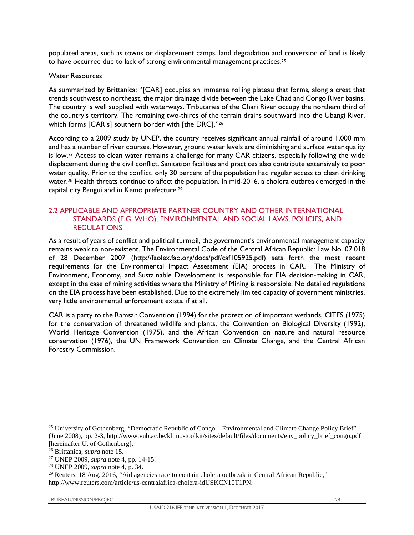populated areas, such as towns or displacement camps, land degradation and conversion of land is likely to have occurred due to lack of strong environmental management practices.<sup>25</sup>

#### Water Resources

As summarized by Brittanica: "[CAR] occupies an immense rolling plateau that forms, along a crest that trends southwest to northeast, the major drainage divide between the Lake Chad and Congo River basins. The country is well supplied with waterways. Tributaries of the Chari River occupy the northern third of the country's territory. The remaining two-thirds of the terrain drains southward into the Ubangi River, which forms [CAR's] southern border with [the DRC]."26

According to a 2009 study by UNEP, the country receives significant annual rainfall of around 1,000 mm and has a number of river courses. However, ground water levels are diminishing and surface water quality is low.27 Access to clean water remains a challenge for many CAR citizens, especially following the wide displacement during the civil conflict. Sanitation facilities and practices also contribute extensively to poor water quality. Prior to the conflict, only 30 percent of the population had regular access to clean drinking water.28 Health threats continue to affect the population. In mid-2016, a cholera outbreak emerged in the capital city Bangui and in Kemo prefecture.<sup>29</sup>

### 2.2 APPLICABLE AND APPROPRIATE PARTNER COUNTRY AND OTHER INTERNATIONAL STANDARDS (E.G. WHO), ENVIRONMENTAL AND SOCIAL LAWS, POLICIES, AND REGULATIONS

As a result of years of conflict and political turmoil, the government's environmental management capacity remains weak to non-existent. The Environmental Code of the Central African Republic: Law No. 07.018 of 28 December 2007 (http://faolex.fao.org/docs/pdf/caf105925.pdf) sets forth the most recent requirements for the Environmental Impact Assessment (EIA) process in CAR. The Ministry of Environment, Economy, and Sustainable Development is responsible for EIA decision-making in CAR, except in the case of mining activities where the Ministry of Mining is responsible. No detailed regulations on the EIA process have been established. Due to the extremely limited capacity of government ministries, very little environmental enforcement exists, if at all.

CAR is a party to the Ramsar Convention (1994) for the protection of important wetlands, CITES (1975) for the conservation of threatened wildlife and plants, the Convention on Biological Diversity (1992), World Heritage Convention (1975), and the African Convention on nature and natural resource conservation (1976), the UN Framework Convention on Climate Change, and the Central African Forestry Commission.

<sup>&</sup>lt;sup>25</sup> University of Gothenberg, "Democratic Republic of Congo – Environmental and Climate Change Policy Brief" (June 2008), pp. 2-3, http://www.vub.ac.be/klimostoolkit/sites/default/files/documents/env\_policy\_brief\_congo.pdf [hereinafter U. of Gothenberg].

<sup>26</sup> Brittanica, *supra* note 15.

<sup>27</sup> UNEP 2009, *supra* note 4, pp. 14-15.

<sup>28</sup> UNEP 2009, *supra* note 4, p. 34.

 $29$  Reuters, 18 Aug. 2016, "Aid agencies race to contain cholera outbreak in Central African Republic," http://www.reuters.com/article/us-centralafrica-cholera-idUSKCN10T1PN.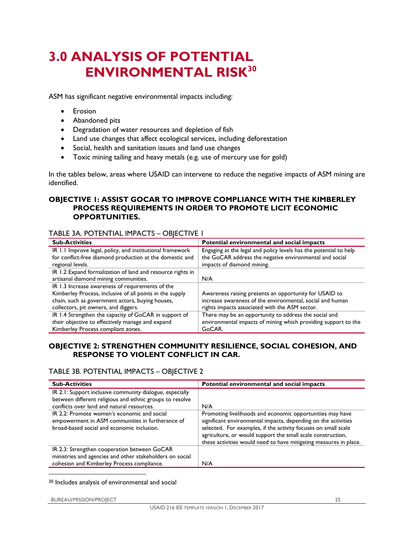# **3.0 ANALYSIS OF POTENTIAL ENVIRONMENTAL RISK<sup>30</sup>**

ASM has significant negative environmental impacts including:

- Erosion
- Abandoned pits
- Degradation of water resources and depletion of fish
- Land use changes that affect ecological services, including deforestation
- Social, health and sanitation issues and land use changes
- Toxic mining tailing and heavy metals (e.g. use of mercury use for gold)

In the tables below, areas where USAID can intervene to reduce the negative impacts of ASM mining are identified.

## **OBJECTIVE 1: ASSIST GOCAR TO IMPROVE COMPLIANCE WITH THE KIMBERLEY PROCESS REQUIREMENTS IN ORDER TO PROMOTE LICIT ECONOMIC OPPORTUNITIES.**

### TABLE 3A. POTENTIAL IMPACTS – OBJECTIVE 1

| <b>Sub-Activities</b>                                      | Potential environmental and social impacts                        |
|------------------------------------------------------------|-------------------------------------------------------------------|
| IR 1.1 Improve legal, policy, and institutional framework  | Engaging at the legal and policy levels has the potential to help |
| for conflict-free diamond production at the domestic and   | the GoCAR address the negative environmental and social           |
| regional levels.                                           | impacts of diamond mining.                                        |
| IR 1.2 Expand formalization of land and resource rights in |                                                                   |
| artisanal diamond mining communities.                      | N/A                                                               |
| IR 1.3 Increase awareness of requirements of the           |                                                                   |
| Kimberley Process, inclusive of all points in the supply   | Awareness raising presents an opportunity for USAID to            |
| chain, such as government actors, buying houses,           | increase awareness of the environmental, social and human         |
| collectors, pit owners, and diggers.                       | rights impacts associated with the ASM sector.                    |
| IR 1.4 Strengthen the capacity of GoCAR in support of      | There may be an opportunity to address the social and             |
| their objective to effectively manage and expand           | environmental impacts of mining which providing support to the    |
| Kimberley Process compliant zones.                         | GoCAR.                                                            |

### **OBJECTIVE 2: STRENGTHEN COMMUNITY RESILIENCE, SOCIAL COHESION, AND RESPONSE TO VIOLENT CONFLICT IN CAR.**

### TABLE 3B. POTENTIAL IMPACTS – OBJECTIVE 2

| <b>Sub-Activities</b>                                                                                                                         | Potential environmental and social impacts                                                                                                                                                                                                                                                                                        |
|-----------------------------------------------------------------------------------------------------------------------------------------------|-----------------------------------------------------------------------------------------------------------------------------------------------------------------------------------------------------------------------------------------------------------------------------------------------------------------------------------|
| IR 2.1: Support inclusive community dialogue, especially<br>between different religious and ethnic groups to resolve                          |                                                                                                                                                                                                                                                                                                                                   |
| conflicts over land and natural resources.                                                                                                    | N/A                                                                                                                                                                                                                                                                                                                               |
| IR 2.2: Promote women's economic and social<br>empowerment in ASM communities in furtherance of<br>broad-based social and economic inclusion. | Promoting livelihoods and economic opportunities may have<br>significant environmental impacts, depending on the activities<br>selected. For examples, if the activity focuses on small scale<br>agriculture, or would support the small scale construction,<br>these activities would need to have mitigating measures in place. |
| IR 2.3: Strengthen cooperation between GoCAR                                                                                                  |                                                                                                                                                                                                                                                                                                                                   |
| ministries and agencies and other stakeholders on social                                                                                      |                                                                                                                                                                                                                                                                                                                                   |
| cohesion and Kimberley Process compliance.                                                                                                    | N/A                                                                                                                                                                                                                                                                                                                               |

30 Includes analysis of environmental and social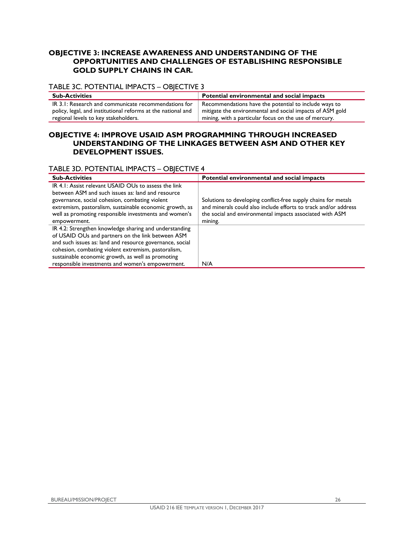## **OBJECTIVE 3: INCREASE AWARENESS AND UNDERSTANDING OF THE OPPORTUNITIES AND CHALLENGES OF ESTABLISHING RESPONSIBLE GOLD SUPPLY CHAINS IN CAR.**

### TABLE 3C. POTENTIAL IMPACTS – OBJECTIVE 3

| <b>Sub-Activities</b>                                        | Potential environmental and social impacts                |
|--------------------------------------------------------------|-----------------------------------------------------------|
| IR 3.1: Research and communicate recommendations for         | Recommendations have the potential to include ways to     |
| policy, legal, and institutional reforms at the national and | mitigate the environmental and social impacts of ASM gold |
| regional levels to key stakeholders.                         | mining, with a particular focus on the use of mercury.    |

### **OBJECTIVE 4: IMPROVE USAID ASM PROGRAMMING THROUGH INCREASED UNDERSTANDING OF THE LINKAGES BETWEEN ASM AND OTHER KEY DEVELOPMENT ISSUES.**

# TABLE 3D. POTENTIAL IMPACTS – OBJECTIVE 4

| <b>Sub-Activities</b>                                                                                                                                                                                                                                                                                                                   | Potential environmental and social impacts                                                                                                                                                               |
|-----------------------------------------------------------------------------------------------------------------------------------------------------------------------------------------------------------------------------------------------------------------------------------------------------------------------------------------|----------------------------------------------------------------------------------------------------------------------------------------------------------------------------------------------------------|
| IR 4.1: Assist relevant USAID OUs to assess the link<br>between ASM and such issues as: land and resource<br>governance, social cohesion, combating violent<br>extremism, pastoralism, sustainable economic growth, as<br>well as promoting responsible investments and women's<br>empowerment.                                         | Solutions to developing conflict-free supply chains for metals<br>and minerals could also include efforts to track and/or address<br>the social and environmental impacts associated with ASM<br>mining. |
| IR 4.2: Strengthen knowledge sharing and understanding<br>of USAID OUs and partners on the link between ASM<br>and such issues as: land and resource governance, social<br>cohesion, combating violent extremism, pastoralism,<br>sustainable economic growth, as well as promoting<br>responsible investments and women's empowerment. | N/A                                                                                                                                                                                                      |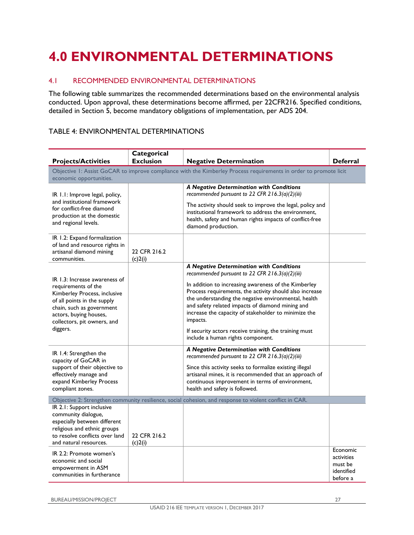# **4.0 ENVIRONMENTAL DETERMINATIONS**

## 4.1 RECOMMENDED ENVIRONMENTAL DETERMINATIONS

The following table summarizes the recommended determinations based on the environmental analysis conducted. Upon approval, these determinations become affirmed, per 22CFR216. Specified conditions, detailed in Section 5, become mandatory obligations of implementation, per ADS 204.

# TABLE 4: ENVIRONMENTAL DETERMINATIONS

|                                                                                                                                                                                                                       | Categorical             |                                                                                                                                                                                                                                                                                                                                                                                                                                                                                               |                                                             |
|-----------------------------------------------------------------------------------------------------------------------------------------------------------------------------------------------------------------------|-------------------------|-----------------------------------------------------------------------------------------------------------------------------------------------------------------------------------------------------------------------------------------------------------------------------------------------------------------------------------------------------------------------------------------------------------------------------------------------------------------------------------------------|-------------------------------------------------------------|
| <b>Projects/Activities</b>                                                                                                                                                                                            | <b>Exclusion</b>        | <b>Negative Determination</b>                                                                                                                                                                                                                                                                                                                                                                                                                                                                 | <b>Deferral</b>                                             |
| economic opportunities.                                                                                                                                                                                               |                         | Objective I: Assist GoCAR to improve compliance with the Kimberley Process requirements in order to promote licit                                                                                                                                                                                                                                                                                                                                                                             |                                                             |
| IR 1.1: Improve legal, policy,<br>and institutional framework<br>for conflict-free diamond<br>production at the domestic<br>and regional levels.                                                                      |                         | A Negative Determination with Conditions<br>recommended pursuant to 22 CFR $216.3(a)(2)(iii)$<br>The activity should seek to improve the legal, policy and<br>institutional framework to address the environment,<br>health, safety and human rights impacts of conflict-free<br>diamond production.                                                                                                                                                                                          |                                                             |
| IR 1.2: Expand formalization<br>of land and resource rights in<br>artisanal diamond mining<br>communities.                                                                                                            | 22 CFR 216.2<br>(c)2(i) |                                                                                                                                                                                                                                                                                                                                                                                                                                                                                               |                                                             |
| IR 1.3: Increase awareness of<br>requirements of the<br>Kimberley Process, inclusive<br>of all points in the supply<br>chain, such as government<br>actors, buying houses,<br>collectors, pit owners, and<br>diggers. |                         | A Negative Determination with Conditions<br>recommended pursuant to 22 CFR 216.3(a)(2)(iii)<br>In addition to increasing awareness of the Kimberley<br>Process requirements, the activity should also increase<br>the understanding the negative environmental, health<br>and safety related impacts of diamond mining and<br>increase the capacity of stakeholder to minimize the<br>impacts.<br>If security actors receive training, the training must<br>include a human rights component. |                                                             |
| IR 1.4: Strengthen the<br>capacity of GoCAR in<br>support of their objective to<br>effectively manage and<br>expand Kimberley Process<br>compliant zones.                                                             |                         | A Negative Determination with Conditions<br>recommended pursuant to 22 CFR $216.3(a)(2)(iii)$<br>Since this activity seeks to formalize existing illegal<br>artisanal mines, it is recommended that an approach of<br>continuous improvement in terms of environment,<br>health and safety is followed.                                                                                                                                                                                       |                                                             |
| IR 2.1: Support inclusive                                                                                                                                                                                             |                         | Objective 2: Strengthen community resilience, social cohesion, and response to violent conflict in CAR.                                                                                                                                                                                                                                                                                                                                                                                       |                                                             |
| community dialogue,<br>especially between different<br>religious and ethnic groups<br>to resolve conflicts over land<br>and natural resources.                                                                        | 22 CFR 216.2<br>(c)2(i) |                                                                                                                                                                                                                                                                                                                                                                                                                                                                                               |                                                             |
| IR 2.2: Promote women's<br>economic and social<br>empowerment in ASM<br>communities in furtherance                                                                                                                    |                         |                                                                                                                                                                                                                                                                                                                                                                                                                                                                                               | Economic<br>activities<br>must be<br>identified<br>before a |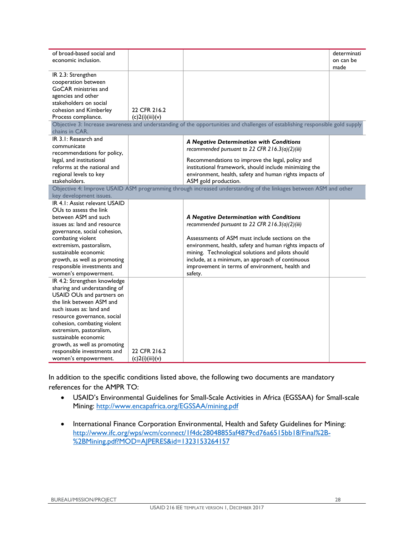| of broad-based social and<br>economic inclusion.                                                                                                                                                                                                                                                                                                          |                                 |                                                                                                                                                                                                                                                                                                                                                                                    | determinati<br>on can be<br>made |
|-----------------------------------------------------------------------------------------------------------------------------------------------------------------------------------------------------------------------------------------------------------------------------------------------------------------------------------------------------------|---------------------------------|------------------------------------------------------------------------------------------------------------------------------------------------------------------------------------------------------------------------------------------------------------------------------------------------------------------------------------------------------------------------------------|----------------------------------|
| IR 2.3: Strengthen<br>cooperation between<br>GoCAR ministries and<br>agencies and other<br>stakeholders on social<br>cohesion and Kimberley<br>Process compliance.<br>chains in CAR.<br>IR 3.1: Research and                                                                                                                                              | 22 CFR 216.2<br>(c)2(i)(iii)(v) | Objective 3: Increase awareness and understanding of the opportunities and challenges of establishing responsible gold supply                                                                                                                                                                                                                                                      |                                  |
| communicate<br>recommendations for policy,<br>legal, and institutional<br>reforms at the national and<br>regional levels to key<br>stakeholders.                                                                                                                                                                                                          |                                 | A Negative Determination with Conditions<br>recommended pursuant to 22 CFR $216.3(a)(2)(iii)$<br>Recommendations to improve the legal, policy and<br>institutional framework, should include minimizing the<br>environment, health, safety and human rights impacts of<br>ASM gold production.                                                                                     |                                  |
| key development issues.                                                                                                                                                                                                                                                                                                                                   |                                 | Objective 4: Improve USAID ASM programming through increased understanding of the linkages between ASM and other                                                                                                                                                                                                                                                                   |                                  |
| IR 4.1: Assist relevant USAID<br>OUs to assess the link<br>between ASM and such<br>issues as: land and resource<br>governance, social cohesion,<br>combating violent<br>extremism, pastoralism,<br>sustainable economic<br>growth, as well as promoting<br>responsible investments and<br>women's empowerment.                                            |                                 | A Negative Determination with Conditions<br>recommended pursuant to 22 CFR $216.3(a)(2)(iii)$<br>Assessments of ASM must include sections on the<br>environment, health, safety and human rights impacts of<br>mining. Technological solutions and pilots should<br>include, at a minimum, an approach of continuous<br>improvement in terms of environment, health and<br>safety. |                                  |
| IR 4.2: Strengthen knowledge<br>sharing and understanding of<br>USAID OUs and partners on<br>the link between ASM and<br>such issues as: land and<br>resource governance, social<br>cohesion, combating violent<br>extremism, pastoralism,<br>sustainable economic<br>growth, as well as promoting<br>responsible investments and<br>women's empowerment. | 22 CFR 216.2<br>(c)2(i)(iii)(v) |                                                                                                                                                                                                                                                                                                                                                                                    |                                  |

In addition to the specific conditions listed above, the following two documents are mandatory references for the AMPR TO:

- USAID's Environmental Guidelines for Small-Scale Activities in Africa (EGSSAA) for Small-scale Mining: http://www.encapafrica.org/EGSSAA/mining.pdf
- International Finance Corporation Environmental, Health and Safety Guidelines for Mining: http://www.ifc.org/wps/wcm/connect/1f4dc28048855af4879cd76a6515bb18/Final%2B- %2BMining.pdf?MOD=AJPERES&id=1323153264157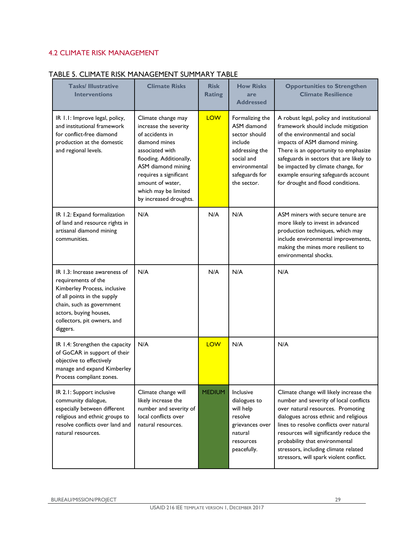# 4.2 CLIMATE RISK MANAGEMENT

| <b>Tasks/Illustrative</b><br><b>Interventions</b>                                                                                                                                                                     | <b>Climate Risks</b>                                                                                                                                                                                                                                | <b>Risk</b><br><b>Rating</b> | <b>How Risks</b><br>are<br><b>Addressed</b>                                                                                                  | <b>Opportunities to Strengthen</b><br><b>Climate Resilience</b>                                                                                                                                                                                                                                                                                                            |
|-----------------------------------------------------------------------------------------------------------------------------------------------------------------------------------------------------------------------|-----------------------------------------------------------------------------------------------------------------------------------------------------------------------------------------------------------------------------------------------------|------------------------------|----------------------------------------------------------------------------------------------------------------------------------------------|----------------------------------------------------------------------------------------------------------------------------------------------------------------------------------------------------------------------------------------------------------------------------------------------------------------------------------------------------------------------------|
| IR 1.1: Improve legal, policy,<br>and institutional framework<br>for conflict-free diamond<br>production at the domestic<br>and regional levels.                                                                      | Climate change may<br>increase the severity<br>of accidents in<br>diamond mines<br>associated with<br>flooding. Additionally,<br>ASM diamond mining<br>requires a significant<br>amount of water,<br>which may be limited<br>by increased droughts. | <b>LOW</b>                   | Formalizing the<br>ASM diamond<br>sector should<br>include<br>addressing the<br>social and<br>environmental<br>safeguards for<br>the sector. | A robust legal, policy and institutional<br>framework should include mitigation<br>of the environmental and social<br>impacts of ASM diamond mining.<br>There is an opportunity to emphasize<br>safeguards in sectors that are likely to<br>be impacted by climate change, for<br>example ensuring safeguards account<br>for drought and flood conditions.                 |
| IR 1.2: Expand formalization<br>of land and resource rights in<br>artisanal diamond mining<br>communities.                                                                                                            | N/A                                                                                                                                                                                                                                                 | N/A                          | N/A                                                                                                                                          | ASM miners with secure tenure are<br>more likely to invest in advanced<br>production techniques, which may<br>include environmental improvements,<br>making the mines more resilient to<br>environmental shocks.                                                                                                                                                           |
| IR 1.3: Increase awareness of<br>requirements of the<br>Kimberley Process, inclusive<br>of all points in the supply<br>chain, such as government<br>actors, buying houses,<br>collectors, pit owners, and<br>diggers. | N/A                                                                                                                                                                                                                                                 | N/A                          | N/A                                                                                                                                          | N/A                                                                                                                                                                                                                                                                                                                                                                        |
| IR 1.4: Strengthen the capacity<br>of GoCAR in support of their<br>objective to effectively<br>manage and expand Kimberley<br>Process compliant zones.                                                                | N/A                                                                                                                                                                                                                                                 | LOW                          | N/A                                                                                                                                          | N/A                                                                                                                                                                                                                                                                                                                                                                        |
| IR 2.1: Support inclusive<br>community dialogue,<br>especially between different<br>religious and ethnic groups to<br>resolve conflicts over land and<br>natural resources.                                           | Climate change will<br>likely increase the<br>number and severity of<br>local conflicts over<br>natural resources.                                                                                                                                  | <b>MEDIUM</b>                | Inclusive<br>dialogues to<br>will help<br>resolve<br>grievances over<br>natural<br>resources<br>peacefully.                                  | Climate change will likely increase the<br>number and severity of local conflicts<br>over natural resources. Promoting<br>dialogues across ethnic and religious<br>lines to resolve conflicts over natural<br>resources will significantly reduce the<br>probability that environmental<br>stressors, including climate related<br>stressors, will spark violent conflict. |

### TABLE 5. CLIMATE RISK MANAGEMENT SUMMARY TABLE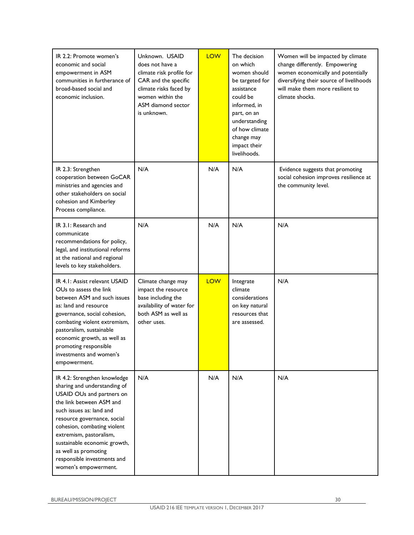| IR 2.2: Promote women's<br>economic and social<br>empowerment in ASM<br>communities in furtherance of<br>broad-based social and<br>economic inclusion.                                                                                                                                                                                                    | Unknown. USAID<br>does not have a<br>climate risk profile for<br>CAR and the specific<br>climate risks faced by<br>women within the<br>ASM diamond sector<br>is unknown. | LOW | The decision<br>on which<br>women should<br>be targeted for<br>assistance<br>could be<br>informed, in<br>part, on an<br>understanding<br>of how climate<br>change may<br>impact their<br>livelihoods. | Women will be impacted by climate<br>change differently. Empowering<br>women economically and potentially<br>diversifying their source of livelihoods<br>will make them more resilient to<br>climate shocks. |
|-----------------------------------------------------------------------------------------------------------------------------------------------------------------------------------------------------------------------------------------------------------------------------------------------------------------------------------------------------------|--------------------------------------------------------------------------------------------------------------------------------------------------------------------------|-----|-------------------------------------------------------------------------------------------------------------------------------------------------------------------------------------------------------|--------------------------------------------------------------------------------------------------------------------------------------------------------------------------------------------------------------|
| IR 2.3: Strengthen<br>cooperation between GoCAR<br>ministries and agencies and<br>other stakeholders on social<br>cohesion and Kimberley<br>Process compliance.                                                                                                                                                                                           | N/A                                                                                                                                                                      | N/A | N/A                                                                                                                                                                                                   | Evidence suggests that promoting<br>social cohesion improves resilience at<br>the community level.                                                                                                           |
| IR 3.1: Research and<br>communicate<br>recommendations for policy,<br>legal, and institutional reforms<br>at the national and regional<br>levels to key stakeholders.                                                                                                                                                                                     | N/A                                                                                                                                                                      | N/A | N/A                                                                                                                                                                                                   | N/A                                                                                                                                                                                                          |
| IR 4.1: Assist relevant USAID<br>OUs to assess the link<br>between ASM and such issues<br>as: land and resource<br>governance, social cohesion,<br>combating violent extremism,<br>pastoralism, sustainable<br>economic growth, as well as<br>promoting responsible<br>investments and women's<br>empowerment.                                            | Climate change may<br>impact the resource<br>base including the<br>availability of water for<br>both ASM as well as<br>other uses.                                       | LOW | Integrate<br>climate<br>considerations<br>on key natural<br>resources that<br>are assessed.                                                                                                           | N/A                                                                                                                                                                                                          |
| IR 4.2: Strengthen knowledge<br>sharing and understanding of<br>USAID OUs and partners on<br>the link between ASM and<br>such issues as: land and<br>resource governance, social<br>cohesion, combating violent<br>extremism, pastoralism,<br>sustainable economic growth,<br>as well as promoting<br>responsible investments and<br>women's empowerment. | N/A                                                                                                                                                                      | N/A | N/A                                                                                                                                                                                                   | N/A                                                                                                                                                                                                          |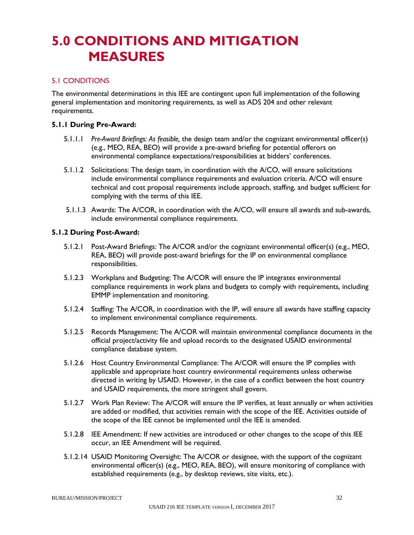# **5.0 CONDITIONS AND MITIGATION MEASURES**

### 5.1 CONDITIONS

The environmental determinations in this IEE are contingent upon full implementation of the following general implementation and monitoring requirements, as well as ADS 204 and other relevant requirements.

### **5.1.1 During Pre-Award:**

- 5.1.1.1 *Pre-Award Briefings: As feasible,* the design team and/or the cognizant environmental officer(s) (e.g., MEO, REA, BEO) will provide a pre-award briefing for potential offerors on environmental compliance expectations/responsibilities at bidders' conferences.
- 5.1.1.2 Solicitations: The design team, in coordination with the A/CO, will ensure solicitations include environmental compliance requirements and evaluation criteria. A/CO will ensure technical and cost proposal requirements include approach, staffing, and budget sufficient for complying with the terms of this IEE.
- 5.1.1.3 Awards: The A/COR, in coordination with the A/CO, will ensure all awards and sub-awards, include environmental compliance requirements.

### **5.1.2 During Post-Award:**

- 5.1.2.1 Post-Award Briefings: The A/COR and/or the cognizant environmental officer(s) (e.g., MEO, REA, BEO) will provide post-award briefings for the IP on environmental compliance responsibilities.
- 5.1.2.3 Workplans and Budgeting: The A/COR will ensure the IP integrates environmental compliance requirements in work plans and budgets to comply with requirements, including EMMP implementation and monitoring.
- 5.1.2.4 Staffing: The A/COR, in coordination with the IP, will ensure all awards have staffing capacity to implement environmental compliance requirements.
- 5.1.2.5 Records Management: The A/COR will maintain environmental compliance documents in the official project/activity file and upload records to the designated USAID environmental compliance database system.
- 5.1.2.6 Host Country Environmental Compliance: The A/COR will ensure the IP complies with applicable and appropriate host country environmental requirements unless otherwise directed in writing by USAID. However, in the case of a conflict between the host country and USAID requirements, the more stringent shall govern.
- 5.1.2.7 Work Plan Review: The A/COR will ensure the IP verifies, at least annually or when activities are added or modified, that activities remain with the scope of the IEE. Activities outside of the scope of the IEE cannot be implemented until the IEE is amended.
- 5.1.2.8 IEE Amendment: If new activities are introduced or other changes to the scope of this IEE occur, an IEE Amendment will be required.
- 5.1.2.14 USAID Monitoring Oversight: The A/COR or designee, with the support of the cognizant environmental officer(s) (e.g., MEO, REA, BEO), will ensure monitoring of compliance with established requirements (e.g., by desktop reviews, site visits, etc.).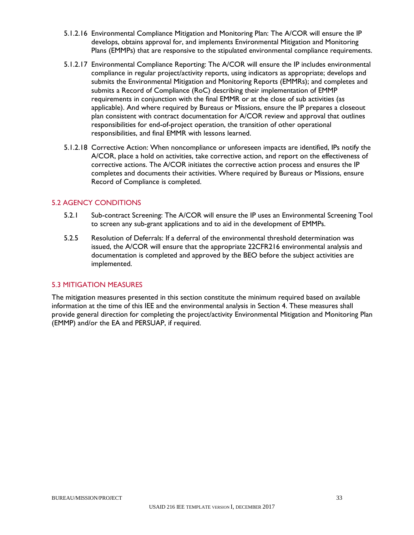- 5.1.2.16 Environmental Compliance Mitigation and Monitoring Plan: The A/COR will ensure the IP develops, obtains approval for, and implements Environmental Mitigation and Monitoring Plans (EMMPs) that are responsive to the stipulated environmental compliance requirements.
- 5.1.2.17 Environmental Compliance Reporting: The A/COR will ensure the IP includes environmental compliance in regular project/activity reports, using indicators as appropriate; develops and submits the Environmental Mitigation and Monitoring Reports (EMMRs); and completes and submits a Record of Compliance (RoC) describing their implementation of EMMP requirements in conjunction with the final EMMR or at the close of sub activities (as applicable). And where required by Bureaus or Missions, ensure the IP prepares a closeout plan consistent with contract documentation for A/COR review and approval that outlines responsibilities for end-of-project operation, the transition of other operational responsibilities, and final EMMR with lessons learned.
- 5.1.2.18 Corrective Action: When noncompliance or unforeseen impacts are identified, IPs notify the A/COR, place a hold on activities, take corrective action, and report on the effectiveness of corrective actions. The A/COR initiates the corrective action process and ensures the IP completes and documents their activities. Where required by Bureaus or Missions, ensure Record of Compliance is completed.

## 5.2 AGENCY CONDITIONS

- 5.2.1 Sub-contract Screening: The A/COR will ensure the IP uses an Environmental Screening Tool to screen any sub-grant applications and to aid in the development of EMMPs.
- 5.2.5 Resolution of Deferrals: If a deferral of the environmental threshold determination was issued, the A/COR will ensure that the appropriate 22CFR216 environmental analysis and documentation is completed and approved by the BEO before the subject activities are implemented.

### 5.3 MITIGATION MEASURES

The mitigation measures presented in this section constitute the minimum required based on available information at the time of this IEE and the environmental analysis in Section 4. These measures shall provide general direction for completing the project/activity Environmental Mitigation and Monitoring Plan (EMMP) and/or the EA and PERSUAP, if required.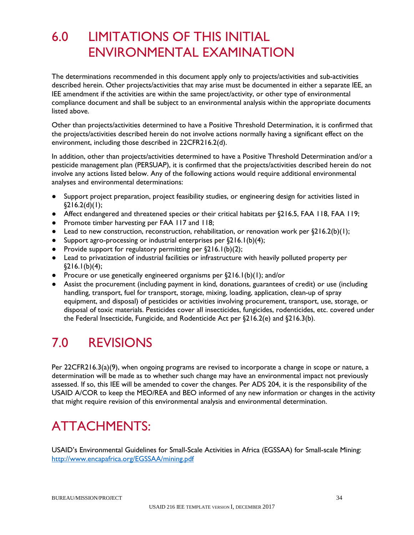# 6.0 LIMITATIONS OF THIS INITIAL ENVIRONMENTAL EXAMINATION

The determinations recommended in this document apply only to projects/activities and sub-activities described herein. Other projects/activities that may arise must be documented in either a separate IEE, an IEE amendment if the activities are within the same project/activity, or other type of environmental compliance document and shall be subject to an environmental analysis within the appropriate documents listed above.

Other than projects/activities determined to have a Positive Threshold Determination, it is confirmed that the projects/activities described herein do not involve actions normally having a significant effect on the environment, including those described in 22CFR216.2(d).

In addition, other than projects/activities determined to have a Positive Threshold Determination and/or a pesticide management plan (PERSUAP), it is confirmed that the projects/activities described herein do not involve any actions listed below. Any of the following actions would require additional environmental analyses and environmental determinations:

- Support project preparation, project feasibility studies, or engineering design for activities listed in  $§216.2(d)(1);$
- Affect endangered and threatened species or their critical habitats per §216.5, FAA 118, FAA 119;
- Promote timber harvesting per FAA 117 and 118;
- Lead to new construction, reconstruction, rehabilitation, or renovation work per  $\S216.2(b)(1);$
- Support agro-processing or industrial enterprises per  $\S216.1(b)(4)$ ;
- Provide support for regulatory permitting per §216.1(b)(2);
- Lead to privatization of industrial facilities or infrastructure with heavily polluted property per  $§216.1(b)(4);$
- Procure or use genetically engineered organisms per §216.1(b)(1); and/or
- Assist the procurement (including payment in kind, donations, guarantees of credit) or use (including handling, transport, fuel for transport, storage, mixing, loading, application, clean-up of spray equipment, and disposal) of pesticides or activities involving procurement, transport, use, storage, or disposal of toxic materials. Pesticides cover all insecticides, fungicides, rodenticides, etc. covered under the Federal Insecticide, Fungicide, and Rodenticide Act per §216.2(e) and §216.3(b).

# 7.0 REVISIONS

Per 22CFR216.3(a)(9), when ongoing programs are revised to incorporate a change in scope or nature, a determination will be made as to whether such change may have an environmental impact not previously assessed. If so, this IEE will be amended to cover the changes. Per ADS 204, it is the responsibility of the USAID A/COR to keep the MEO/REA and BEO informed of any new information or changes in the activity that might require revision of this environmental analysis and environmental determination.

# ATTACHMENTS:

USAID's Environmental Guidelines for Small-Scale Activities in Africa (EGSSAA) for Small-scale Mining: http://www.encapafrica.org/EGSSAA/mining.pdf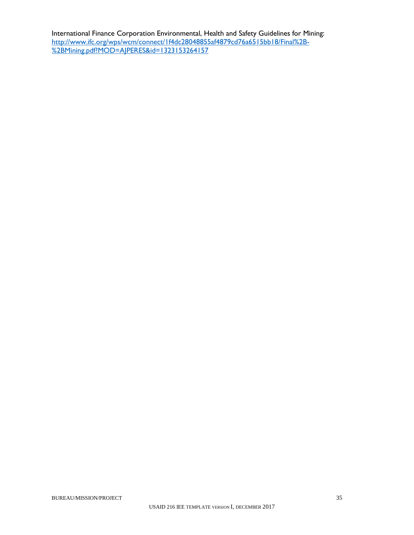International Finance Corporation Environmental, Health and Safety Guidelines for Mining: http://www.ifc.org/wps/wcm/connect/1f4dc28048855af4879cd76a6515bb18/Final%2B- %2BMining.pdf?MOD=AJPERES&id=1323153264157